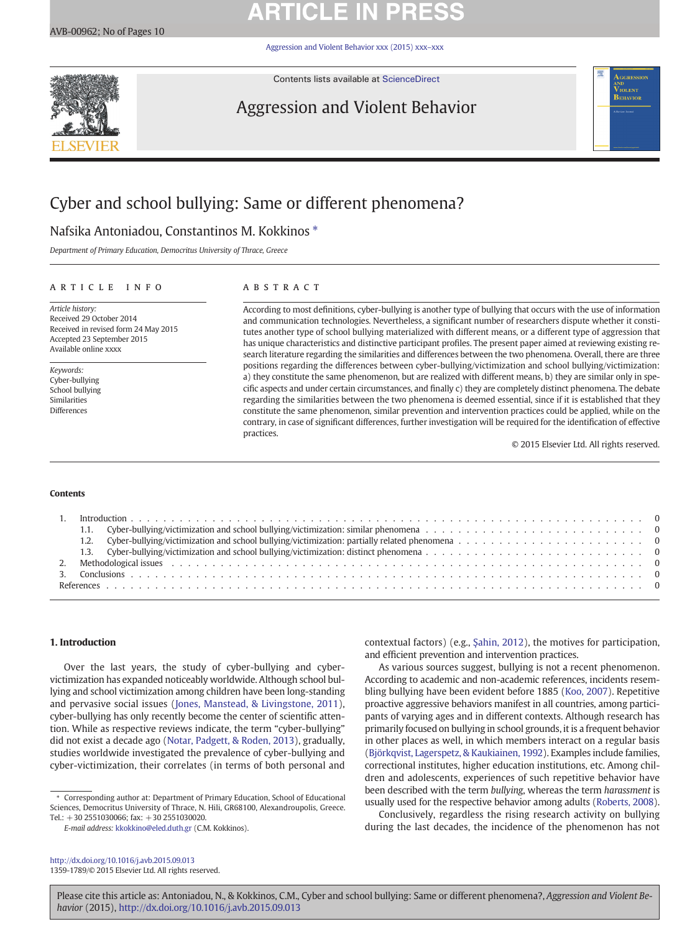# **ARTICLE IN PRI**

[Aggression and Violent Behavior xxx \(2015\) xxx](http://dx.doi.org/10.1016/j.avb.2015.09.013)–xxx



Contents lists available at [ScienceDirect](http://www.sciencedirect.com/science/journal/13591789)

## Aggression and Violent Behavior



## Cyber and school bullying: Same or different phenomena?

### Nafsika Antoniadou, Constantinos M. Kokkinos \*

Department of Primary Education, Democritus University of Thrace, Greece

#### article info abstract

Article history: Received 29 October 2014 Received in revised form 24 May 2015 Accepted 23 September 2015 Available online xxxx

Keywords: Cyber-bullying School bullying Similarities Differences

According to most definitions, cyber-bullying is another type of bullying that occurs with the use of information and communication technologies. Nevertheless, a significant number of researchers dispute whether it constitutes another type of school bullying materialized with different means, or a different type of aggression that has unique characteristics and distinctive participant profiles. The present paper aimed at reviewing existing research literature regarding the similarities and differences between the two phenomena. Overall, there are three positions regarding the differences between cyber-bullying/victimization and school bullying/victimization: a) they constitute the same phenomenon, but are realized with different means, b) they are similar only in specific aspects and under certain circumstances, and finally c) they are completely distinct phenomena. The debate regarding the similarities between the two phenomena is deemed essential, since if it is established that they constitute the same phenomenon, similar prevention and intervention practices could be applied, while on the contrary, in case of significant differences, further investigation will be required for the identification of effective practices.

© 2015 Elsevier Ltd. All rights reserved.

### Contents

### 1. Introduction

Over the last years, the study of cyber-bullying and cybervictimization has expanded noticeably worldwide. Although school bullying and school victimization among children have been long-standing and pervasive social issues [\(Jones, Manstead, & Livingstone, 2011](#page-8-0)), cyber-bullying has only recently become the center of scientific attention. While as respective reviews indicate, the term "cyber-bullying" did not exist a decade ago [\(Notar, Padgett, & Roden, 2013\)](#page-8-0), gradually, studies worldwide investigated the prevalence of cyber-bullying and cyber-victimization, their correlates (in terms of both personal and

⁎ Corresponding author at: Department of Primary Education, School of Educational Sciences, Democritus University of Thrace, N. Hili, GR68100, Alexandroupolis, Greece. Tel.: +30 2551030066; fax: +30 2551030020.

E-mail address: [kkokkino@eled.duth.gr](mailto:kkokkino@eled.duth.gr) (C.M. Kokkinos).

contextual factors) (e.g., Ş[ahin, 2012\)](#page-9-0), the motives for participation, and efficient prevention and intervention practices.

As various sources suggest, bullying is not a recent phenomenon. According to academic and non-academic references, incidents resembling bullying have been evident before 1885 [\(Koo, 2007](#page-8-0)). Repetitive proactive aggressive behaviors manifest in all countries, among participants of varying ages and in different contexts. Although research has primarily focused on bullying in school grounds, it is a frequent behavior in other places as well, in which members interact on a regular basis [\(Björkqvist, Lagerspetz, & Kaukiainen, 1992](#page-8-0)). Examples include families, correctional institutes, higher education institutions, etc. Among children and adolescents, experiences of such repetitive behavior have been described with the term bullying, whereas the term harassment is usually used for the respective behavior among adults ([Roberts, 2008](#page-9-0)).

Conclusively, regardless the rising research activity on bullying during the last decades, the incidence of the phenomenon has not

<http://dx.doi.org/10.1016/j.avb.2015.09.013> 1359-1789/© 2015 Elsevier Ltd. All rights reserved.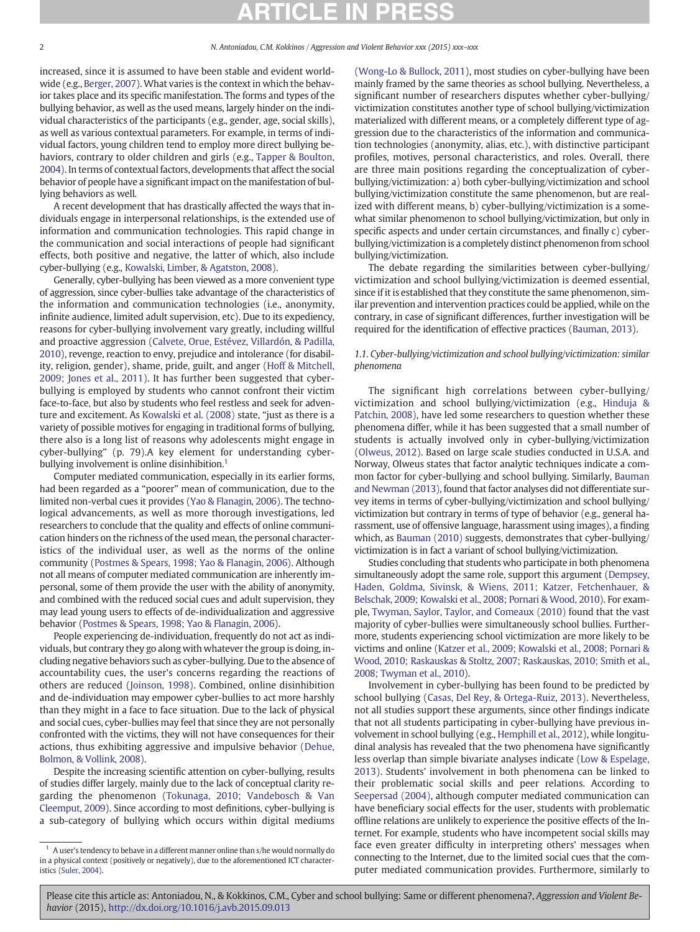increased, since it is assumed to have been stable and evident worldwide (e.g., [Berger, 2007\)](#page-8-0). What varies is the context in which the behavior takes place and its specific manifestation. The forms and types of the bullying behavior, as well as the used means, largely hinder on the individual characteristics of the participants (e.g., gender, age, social skills), as well as various contextual parameters. For example, in terms of individual factors, young children tend to employ more direct bullying behaviors, contrary to older children and girls (e.g., [Tapper & Boulton,](#page-9-0) [2004\)](#page-9-0). In terms of contextual factors, developments that affect the social behavior of people have a significant impact on the manifestation of bullying behaviors as well.

A recent development that has drastically affected the ways that individuals engage in interpersonal relationships, is the extended use of information and communication technologies. This rapid change in the communication and social interactions of people had significant effects, both positive and negative, the latter of which, also include cyber-bullying (e.g., [Kowalski, Limber, & Agatston, 2008\)](#page-8-0).

Generally, cyber-bullying has been viewed as a more convenient type of aggression, since cyber-bullies take advantage of the characteristics of the information and communication technologies (i.e., anonymity, infinite audience, limited adult supervision, etc). Due to its expediency, reasons for cyber-bullying involvement vary greatly, including willful and proactive aggression ([Calvete, Orue, Estévez, Villardón, & Padilla,](#page-8-0) [2010\)](#page-8-0), revenge, reaction to envy, prejudice and intolerance (for disability, religion, gender), shame, pride, guilt, and anger [\(Hoff & Mitchell,](#page-8-0) [2009; Jones et al., 2011](#page-8-0)). It has further been suggested that cyberbullying is employed by students who cannot confront their victim face-to-face, but also by students who feel restless and seek for adventure and excitement. As [Kowalski et al. \(2008\)](#page-8-0) state, "just as there is a variety of possible motives for engaging in traditional forms of bullying, there also is a long list of reasons why adolescents might engage in cyber-bullying" (p. 79).A key element for understanding cyberbullying involvement is online disinhibition.<sup>1</sup>

Computer mediated communication, especially in its earlier forms, had been regarded as a "poorer" mean of communication, due to the limited non-verbal cues it provides [\(Yao & Flanagin, 2006](#page-9-0)). The technological advancements, as well as more thorough investigations, led researchers to conclude that the quality and effects of online communication hinders on the richness of the used mean, the personal characteristics of the individual user, as well as the norms of the online community ([Postmes & Spears, 1998; Yao & Flanagin, 2006](#page-8-0)). Although not all means of computer mediated communication are inherently impersonal, some of them provide the user with the ability of anonymity, and combined with the reduced social cues and adult supervision, they may lead young users to effects of de-individualization and aggressive behavior [\(Postmes & Spears, 1998; Yao & Flanagin, 2006\)](#page-8-0).

People experiencing de-individuation, frequently do not act as individuals, but contrary they go along with whatever the group is doing, including negative behaviors such as cyber-bullying. Due to the absence of accountability cues, the user's concerns regarding the reactions of others are reduced ([Joinson, 1998](#page-8-0)). Combined, online disinhibition and de-individuation may empower cyber-bullies to act more harshly than they might in a face to face situation. Due to the lack of physical and social cues, cyber-bullies may feel that since they are not personally confronted with the victims, they will not have consequences for their actions, thus exhibiting aggressive and impulsive behavior [\(Dehue,](#page-8-0) [Bolmon, & Vollink, 2008](#page-8-0)).

Despite the increasing scientific attention on cyber-bullying, results of studies differ largely, mainly due to the lack of conceptual clarity regarding the phenomenon ([Tokunaga, 2010; Vandebosch & Van](#page-9-0) [Cleemput, 2009\)](#page-9-0). Since according to most definitions, cyber-bullying is a sub-category of bullying which occurs within digital mediums [\(Wong-Lo & Bullock, 2011\)](#page-9-0), most studies on cyber-bullying have been mainly framed by the same theories as school bullying. Nevertheless, a significant number of researchers disputes whether cyber-bullying/ victimization constitutes another type of school bullying/victimization materialized with different means, or a completely different type of aggression due to the characteristics of the information and communication technologies (anonymity, alias, etc.), with distinctive participant profiles, motives, personal characteristics, and roles. Overall, there are three main positions regarding the conceptualization of cyberbullying/victimization: a) both cyber-bullying/victimization and school bullying/victimization constitute the same phenomenon, but are realized with different means, b) cyber-bullying/victimization is a somewhat similar phenomenon to school bullying/victimization, but only in specific aspects and under certain circumstances, and finally c) cyberbullying/victimization is a completely distinct phenomenon from school bullying/victimization.

The debate regarding the similarities between cyber-bullying/ victimization and school bullying/victimization is deemed essential, since if it is established that they constitute the same phenomenon, similar prevention and intervention practices could be applied, while on the contrary, in case of significant differences, further investigation will be required for the identification of effective practices [\(Bauman, 2013\)](#page-7-0).

### 1.1. Cyber-bullying/victimization and school bullying/victimization: similar phenomena

The significant high correlations between cyber-bullying/ victimization and school bullying/victimization (e.g., [Hinduja &](#page-8-0) [Patchin, 2008\)](#page-8-0), have led some researchers to question whether these phenomena differ, while it has been suggested that a small number of students is actually involved only in cyber-bullying/victimization [\(Olweus, 2012\)](#page-8-0). Based on large scale studies conducted in U.S.A. and Norway, Olweus states that factor analytic techniques indicate a common factor for cyber-bullying and school bullying. Similarly, [Bauman](#page-7-0) [and Newman \(2013\)](#page-7-0), found that factor analyses did not differentiate survey items in terms of cyber-bullying/victimization and school bullying/ victimization but contrary in terms of type of behavior (e.g., general harassment, use of offensive language, harassment using images), a finding which, as [Bauman \(2010\)](#page-7-0) suggests, demonstrates that cyber-bullying/ victimization is in fact a variant of school bullying/victimization.

Studies concluding that students who participate in both phenomena simultaneously adopt the same role, support this argument [\(Dempsey,](#page-8-0) [Haden, Goldma, Sivinsk, & Wiens, 2011; Katzer, Fetchenhauer, &](#page-8-0) [Belschak, 2009; Kowalski et al., 2008; Pornari & Wood, 2010](#page-8-0)). For example, [Twyman, Saylor, Taylor, and Comeaux \(2010\)](#page-9-0) found that the vast majority of cyber-bullies were simultaneously school bullies. Furthermore, students experiencing school victimization are more likely to be victims and online [\(Katzer et al., 2009; Kowalski et al., 2008; Pornari &](#page-8-0) [Wood, 2010; Raskauskas & Stoltz, 2007; Raskauskas, 2010; Smith et al.,](#page-8-0) [2008; Twyman et al., 2010](#page-8-0)).

Involvement in cyber-bullying has been found to be predicted by school bullying ([Casas, Del Rey, & Ortega-Ruiz, 2013](#page-8-0)). Nevertheless, not all studies support these arguments, since other findings indicate that not all students participating in cyber-bullying have previous involvement in school bullying (e.g., [Hemphill et al., 2012\)](#page-8-0), while longitudinal analysis has revealed that the two phenomena have significantly less overlap than simple bivariate analyses indicate [\(Low & Espelage,](#page-8-0) [2013](#page-8-0)). Students' involvement in both phenomena can be linked to their problematic social skills and peer relations. According to [Seepersad \(2004\),](#page-9-0) although computer mediated communication can have beneficiary social effects for the user, students with problematic offline relations are unlikely to experience the positive effects of the Internet. For example, students who have incompetent social skills may face even greater difficulty in interpreting others' messages when connecting to the Internet, due to the limited social cues that the computer mediated communication provides. Furthermore, similarly to

 $1$  A user's tendency to behave in a different manner online than s/he would normally do in a physical context (positively or negatively), due to the aforementioned ICT characteristics [\(Suler, 2004\)](#page-9-0).

Please cite this article as: Antoniadou, N., & Kokkinos, C.M., Cyber and school bullying: Same or different phenomena?, Aggression and Violent Behavior (2015), <http://dx.doi.org/10.1016/j.avb.2015.09.013>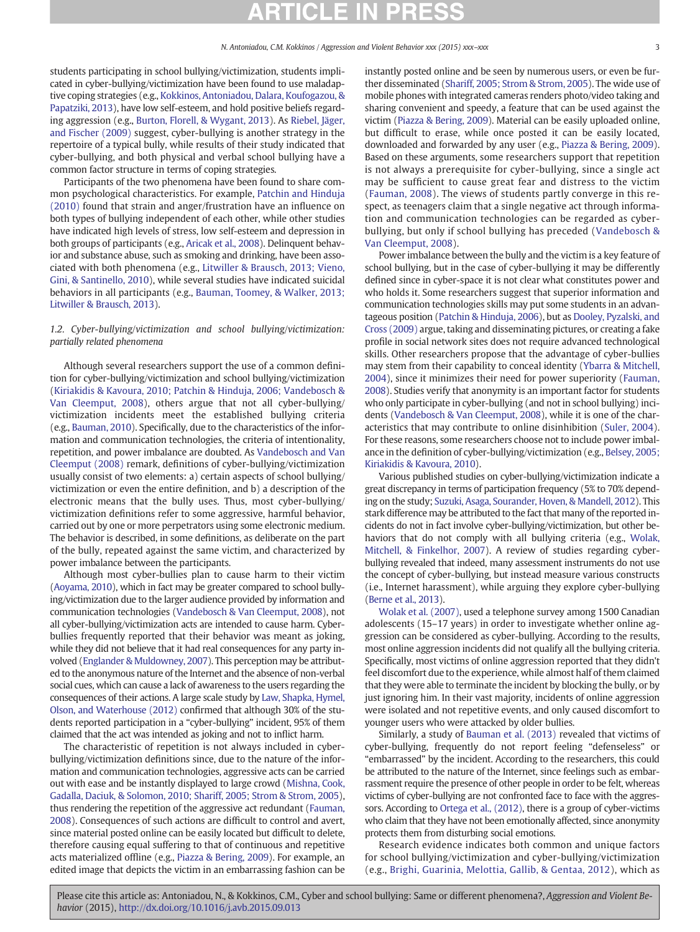students participating in school bullying/victimization, students implicated in cyber-bullying/victimization have been found to use maladaptive coping strategies (e.g., [Kokkinos, Antoniadou, Dalara, Koufogazou, &](#page-8-0) [Papatziki, 2013\)](#page-8-0), have low self-esteem, and hold positive beliefs regarding aggression (e.g., [Burton, Florell, & Wygant, 2013](#page-8-0)). As [Riebel, Jäger,](#page-9-0) [and Fischer \(2009\)](#page-9-0) suggest, cyber-bullying is another strategy in the repertoire of a typical bully, while results of their study indicated that cyber-bullying, and both physical and verbal school bullying have a common factor structure in terms of coping strategies.

Participants of the two phenomena have been found to share common psychological characteristics. For example, [Patchin and Hinduja](#page-8-0) [\(2010\)](#page-8-0) found that strain and anger/frustration have an influence on both types of bullying independent of each other, while other studies have indicated high levels of stress, low self-esteem and depression in both groups of participants (e.g., [Aricak et al., 2008\)](#page-7-0). Delinquent behavior and substance abuse, such as smoking and drinking, have been associated with both phenomena (e.g., [Litwiller & Brausch, 2013; Vieno,](#page-8-0) [Gini, & Santinello, 2010\)](#page-8-0), while several studies have indicated suicidal behaviors in all participants (e.g., [Bauman, Toomey, & Walker, 2013;](#page-7-0) [Litwiller & Brausch, 2013](#page-7-0)).

### 1.2. Cyber-bullying/victimization and school bullying/victimization: partially related phenomena

Although several researchers support the use of a common definition for cyber-bullying/victimization and school bullying/victimization [\(Kiriakidis & Kavoura, 2010; Patchin & Hinduja, 2006; Vandebosch &](#page-8-0) [Van Cleemput, 2008](#page-8-0)), others argue that not all cyber-bullying/ victimization incidents meet the established bullying criteria (e.g., [Bauman, 2010\)](#page-7-0). Specifically, due to the characteristics of the information and communication technologies, the criteria of intentionality, repetition, and power imbalance are doubted. As [Vandebosch and Van](#page-9-0) [Cleemput \(2008\)](#page-9-0) remark, definitions of cyber-bullying/victimization usually consist of two elements: a) certain aspects of school bullying/ victimization or even the entire definition, and b) a description of the electronic means that the bully uses. Thus, most cyber-bullying/ victimization definitions refer to some aggressive, harmful behavior, carried out by one or more perpetrators using some electronic medium. The behavior is described, in some definitions, as deliberate on the part of the bully, repeated against the same victim, and characterized by power imbalance between the participants.

Although most cyber-bullies plan to cause harm to their victim [\(Aoyama, 2010](#page-7-0)), which in fact may be greater compared to school bullying/victimization due to the larger audience provided by information and communication technologies [\(Vandebosch & Van Cleemput, 2008](#page-9-0)), not all cyber-bullying/victimization acts are intended to cause harm. Cyberbullies frequently reported that their behavior was meant as joking, while they did not believe that it had real consequences for any party involved ([Englander & Muldowney, 2007\)](#page-8-0). This perception may be attributed to the anonymous nature of the Internet and the absence of non-verbal social cues, which can cause a lack of awareness to the users regarding the consequences of their actions. A large scale study by [Law, Shapka, Hymel,](#page-8-0) [Olson, and Waterhouse \(2012\)](#page-8-0) confirmed that although 30% of the students reported participation in a "cyber-bullying" incident, 95% of them claimed that the act was intended as joking and not to inflict harm.

The characteristic of repetition is not always included in cyberbullying/victimization definitions since, due to the nature of the information and communication technologies, aggressive acts can be carried out with ease and be instantly displayed to large crowd [\(Mishna, Cook,](#page-8-0) [Gadalla, Daciuk, & Solomon, 2010; Shariff, 2005; Strom & Strom, 2005](#page-8-0)), thus rendering the repetition of the aggressive act redundant [\(Fauman,](#page-8-0) [2008\)](#page-8-0). Consequences of such actions are difficult to control and avert, since material posted online can be easily located but difficult to delete, therefore causing equal suffering to that of continuous and repetitive acts materialized offline (e.g., [Piazza & Bering, 2009\)](#page-8-0). For example, an edited image that depicts the victim in an embarrassing fashion can be instantly posted online and be seen by numerous users, or even be further disseminated [\(Shariff, 2005; Strom & Strom, 2005](#page-9-0)). The wide use of mobile phones with integrated cameras renders photo/video taking and sharing convenient and speedy, a feature that can be used against the victim ([Piazza & Bering, 2009](#page-8-0)). Material can be easily uploaded online, but difficult to erase, while once posted it can be easily located, downloaded and forwarded by any user (e.g., [Piazza & Bering, 2009](#page-8-0)). Based on these arguments, some researchers support that repetition is not always a prerequisite for cyber-bullying, since a single act may be sufficient to cause great fear and distress to the victim [\(Fauman, 2008\)](#page-8-0). The views of students partly converge in this respect, as teenagers claim that a single negative act through information and communication technologies can be regarded as cyberbullying, but only if school bullying has preceded ([Vandebosch &](#page-9-0) [Van Cleemput, 2008](#page-9-0)).

Power imbalance between the bully and the victim is a key feature of school bullying, but in the case of cyber-bullying it may be differently defined since in cyber-space it is not clear what constitutes power and who holds it. Some researchers suggest that superior information and communication technologies skills may put some students in an advantageous position ([Patchin & Hinduja, 2006](#page-8-0)), but as [Dooley, Pyzalski, and](#page-8-0) [Cross \(2009\)](#page-8-0) argue, taking and disseminating pictures, or creating a fake profile in social network sites does not require advanced technological skills. Other researchers propose that the advantage of cyber-bullies may stem from their capability to conceal identity ([Ybarra & Mitchell,](#page-9-0) [2004\)](#page-9-0), since it minimizes their need for power superiority ([Fauman,](#page-8-0) [2008](#page-8-0)). Studies verify that anonymity is an important factor for students who only participate in cyber-bullying (and not in school bullying) incidents ([Vandebosch & Van Cleemput, 2008](#page-9-0)), while it is one of the characteristics that may contribute to online disinhibition ([Suler, 2004](#page-9-0)). For these reasons, some researchers choose not to include power imbalance in the definition of cyber-bullying/victimization (e.g., [Belsey, 2005;](#page-7-0) [Kiriakidis & Kavoura, 2010](#page-7-0)).

Various published studies on cyber-bullying/victimization indicate a great discrepancy in terms of participation frequency (5% to 70% depending on the study; [Suzuki, Asaga, Sourander, Hoven, & Mandell, 2012\)](#page-9-0). This stark difference may be attributed to the fact that many of the reported incidents do not in fact involve cyber-bullying/victimization, but other behaviors that do not comply with all bullying criteria (e.g., [Wolak,](#page-9-0) [Mitchell, & Finkelhor, 2007\)](#page-9-0). A review of studies regarding cyberbullying revealed that indeed, many assessment instruments do not use the concept of cyber-bullying, but instead measure various constructs (i.e., Internet harassment), while arguing they explore cyber-bullying [\(Berne et al., 2013\)](#page-8-0).

[Wolak et al. \(2007\),](#page-9-0) used a telephone survey among 1500 Canadian adolescents (15–17 years) in order to investigate whether online aggression can be considered as cyber-bullying. According to the results, most online aggression incidents did not qualify all the bullying criteria. Specifically, most victims of online aggression reported that they didn't feel discomfort due to the experience, while almost half of them claimed that they were able to terminate the incident by blocking the bully, or by just ignoring him. In their vast majority, incidents of online aggression were isolated and not repetitive events, and only caused discomfort to younger users who were attacked by older bullies.

Similarly, a study of [Bauman et al. \(2013\)](#page-7-0) revealed that victims of cyber-bullying, frequently do not report feeling "defenseless" or "embarrassed" by the incident. According to the researchers, this could be attributed to the nature of the Internet, since feelings such as embarrassment require the presence of other people in order to be felt, whereas victims of cyber-bullying are not confronted face to face with the aggressors. According to [Ortega et al., \(2012\),](#page-8-0) there is a group of cyber-victims who claim that they have not been emotionally affected, since anonymity protects them from disturbing social emotions.

Research evidence indicates both common and unique factors for school bullying/victimization and cyber-bullying/victimization (e.g., [Brighi, Guarinia, Melottia, Gallib, & Gentaa, 2012\)](#page-8-0), which as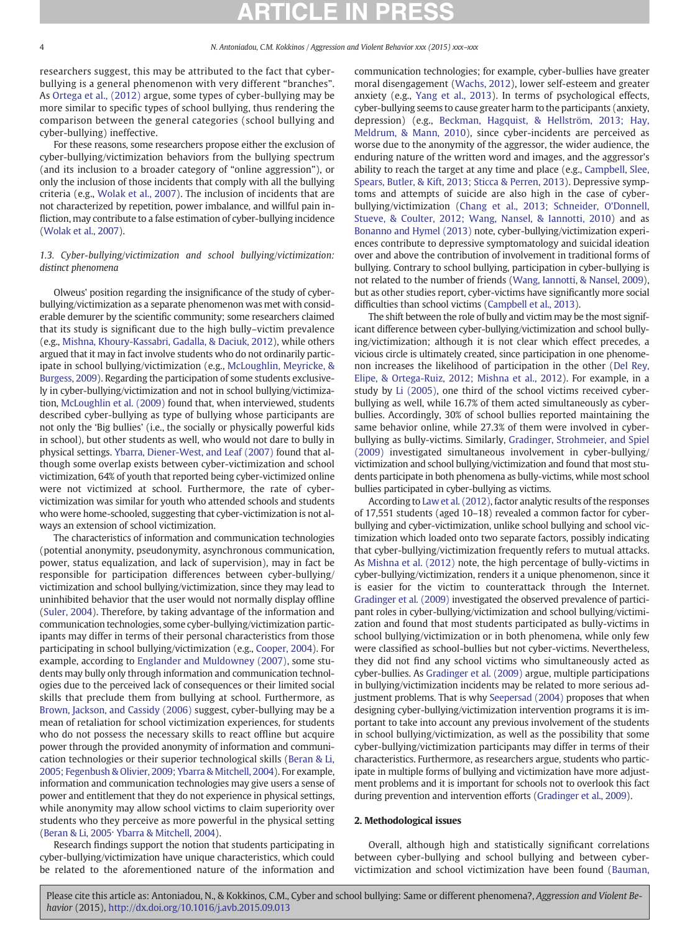researchers suggest, this may be attributed to the fact that cyberbullying is a general phenomenon with very different "branches". As [Ortega et al., \(2012\)](#page-8-0) argue, some types of cyber-bullying may be more similar to specific types of school bullying, thus rendering the comparison between the general categories (school bullying and cyber-bullying) ineffective.

For these reasons, some researchers propose either the exclusion of cyber-bullying/victimization behaviors from the bullying spectrum (and its inclusion to a broader category of "online aggression"), or only the inclusion of those incidents that comply with all the bullying criteria (e.g., [Wolak et al., 2007](#page-9-0)). The inclusion of incidents that are not characterized by repetition, power imbalance, and willful pain infliction, may contribute to a false estimation of cyber-bullying incidence [\(Wolak et al., 2007](#page-9-0)).

### 1.3. Cyber-bullying/victimization and school bullying/victimization: distinct phenomena

Olweus' position regarding the insignificance of the study of cyberbullying/victimization as a separate phenomenon was met with considerable demurer by the scientific community; some researchers claimed that its study is significant due to the high bully–victim prevalence (e.g., [Mishna, Khoury-Kassabri, Gadalla, & Daciuk, 2012](#page-8-0)), while others argued that it may in fact involve students who do not ordinarily participate in school bullying/victimization (e.g., [McLoughlin, Meyricke, &](#page-8-0) [Burgess, 2009](#page-8-0)). Regarding the participation of some students exclusively in cyber-bullying/victimization and not in school bullying/victimization, [McLoughlin et al. \(2009\)](#page-8-0) found that, when interviewed, students described cyber-bullying as type of bullying whose participants are not only the 'Big bullies' (i.e., the socially or physically powerful kids in school), but other students as well, who would not dare to bully in physical settings. [Ybarra, Diener-West, and Leaf \(2007\)](#page-9-0) found that although some overlap exists between cyber-victimization and school victimization, 64% of youth that reported being cyber-victimized online were not victimized at school. Furthermore, the rate of cybervictimization was similar for youth who attended schools and students who were home-schooled, suggesting that cyber-victimization is not always an extension of school victimization.

The characteristics of information and communication technologies (potential anonymity, pseudonymity, asynchronous communication, power, status equalization, and lack of supervision), may in fact be responsible for participation differences between cyber-bullying/ victimization and school bullying/victimization, since they may lead to uninhibited behavior that the user would not normally display offline [\(Suler, 2004](#page-9-0)). Therefore, by taking advantage of the information and communication technologies, some cyber-bullying/victimization participants may differ in terms of their personal characteristics from those participating in school bullying/victimization (e.g., [Cooper, 2004\)](#page-8-0). For example, according to [Englander and Muldowney \(2007\)](#page-8-0), some students may bully only through information and communication technologies due to the perceived lack of consequences or their limited social skills that preclude them from bullying at school. Furthermore, as [Brown, Jackson, and Cassidy \(2006\)](#page-8-0) suggest, cyber-bullying may be a mean of retaliation for school victimization experiences, for students who do not possess the necessary skills to react offline but acquire power through the provided anonymity of information and communication technologies or their superior technological skills [\(Beran & Li,](#page-7-0) [2005; Fegenbush & Olivier, 2009; Ybarra & Mitchell, 2004](#page-7-0)). For example, information and communication technologies may give users a sense of power and entitlement that they do not experience in physical settings, while anonymity may allow school victims to claim superiority over students who they perceive as more powerful in the physical setting [\(Beran & Li, 2005](#page-7-0)· [Ybarra & Mitchell, 2004](#page-9-0)).

Research findings support the notion that students participating in cyber-bullying/victimization have unique characteristics, which could be related to the aforementioned nature of the information and communication technologies; for example, cyber-bullies have greater moral disengagement [\(Wachs, 2012\)](#page-9-0), lower self-esteem and greater anxiety (e.g., [Yang et al., 2013\)](#page-9-0). In terms of psychological effects, cyber-bullying seems to cause greater harm to the participants (anxiety, depression) (e.g., [Beckman, Hagquist, & Hellström, 2013; Hay,](#page-7-0) [Meldrum, & Mann, 2010\)](#page-7-0), since cyber-incidents are perceived as worse due to the anonymity of the aggressor, the wider audience, the enduring nature of the written word and images, and the aggressor's ability to reach the target at any time and place (e.g., [Campbell, Slee,](#page-8-0) [Spears, Butler, & Kift, 2013; Sticca & Perren, 2013](#page-8-0)). Depressive symptoms and attempts of suicide are also high in the case of cyberbullying/victimization [\(Chang et al., 2013; Schneider, O'Donnell,](#page-8-0) [Stueve, & Coulter, 2012; Wang, Nansel, & Iannotti, 2010](#page-8-0)) and as [Bonanno and Hymel \(2013\)](#page-8-0) note, cyber-bullying/victimization experiences contribute to depressive symptomatology and suicidal ideation over and above the contribution of involvement in traditional forms of bullying. Contrary to school bullying, participation in cyber-bullying is not related to the number of friends ([Wang, Iannotti, & Nansel, 2009](#page-9-0)), but as other studies report, cyber-victims have significantly more social difficulties than school victims [\(Campbell et al., 2013](#page-8-0)).

The shift between the role of bully and victim may be the most significant difference between cyber-bullying/victimization and school bullying/victimization; although it is not clear which effect precedes, a vicious circle is ultimately created, since participation in one phenomenon increases the likelihood of participation in the other [\(Del Rey,](#page-8-0) [Elipe, & Ortega-Ruiz, 2012; Mishna et al., 2012](#page-8-0)). For example, in a study by [Li \(2005\),](#page-8-0) one third of the school victims received cyberbullying as well, while 16.7% of them acted simultaneously as cyberbullies. Accordingly, 30% of school bullies reported maintaining the same behavior online, while 27.3% of them were involved in cyberbullying as bully-victims. Similarly, [Gradinger, Strohmeier, and Spiel](#page-8-0) [\(2009\)](#page-8-0) investigated simultaneous involvement in cyber-bullying/ victimization and school bullying/victimization and found that most students participate in both phenomena as bully-victims, while most school bullies participated in cyber-bullying as victims.

According to [Law et al. \(2012\)](#page-8-0), factor analytic results of the responses of 17,551 students (aged 10–18) revealed a common factor for cyberbullying and cyber-victimization, unlike school bullying and school victimization which loaded onto two separate factors, possibly indicating that cyber-bullying/victimization frequently refers to mutual attacks. As [Mishna et al. \(2012\)](#page-8-0) note, the high percentage of bully-victims in cyber-bullying/victimization, renders it a unique phenomenon, since it is easier for the victim to counterattack through the Internet. [Gradinger et al. \(2009\)](#page-8-0) investigated the observed prevalence of participant roles in cyber-bullying/victimization and school bullying/victimization and found that most students participated as bully-victims in school bullying/victimization or in both phenomena, while only few were classified as school-bullies but not cyber-victims. Nevertheless, they did not find any school victims who simultaneously acted as cyber-bullies. As [Gradinger et al. \(2009\)](#page-8-0) argue, multiple participations in bullying/victimization incidents may be related to more serious adjustment problems. That is why [Seepersad \(2004\)](#page-9-0) proposes that when designing cyber-bullying/victimization intervention programs it is important to take into account any previous involvement of the students in school bullying/victimization, as well as the possibility that some cyber-bullying/victimization participants may differ in terms of their characteristics. Furthermore, as researchers argue, students who participate in multiple forms of bullying and victimization have more adjustment problems and it is important for schools not to overlook this fact during prevention and intervention efforts [\(Gradinger et al., 2009](#page-8-0)).

#### 2. Methodological issues

Overall, although high and statistically significant correlations between cyber-bullying and school bullying and between cybervictimization and school victimization have been found ([Bauman,](#page-7-0)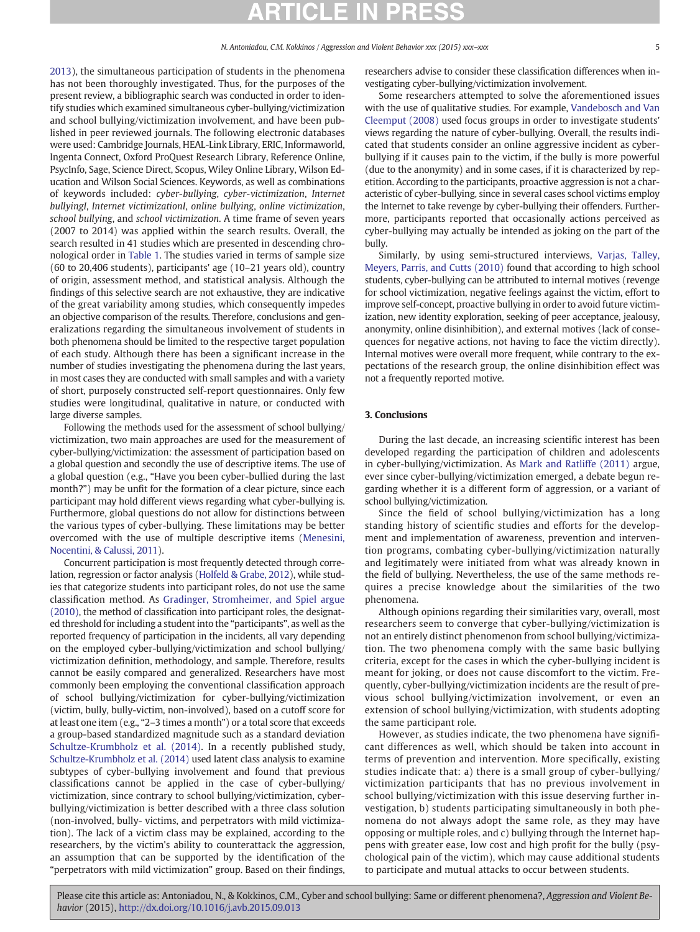[2013\)](#page-7-0), the simultaneous participation of students in the phenomena has not been thoroughly investigated. Thus, for the purposes of the present review, a bibliographic search was conducted in order to identify studies which examined simultaneous cyber-bullying/victimization and school bullying/victimization involvement, and have been published in peer reviewed journals. The following electronic databases were used: Cambridge Journals, HEAL-Link Library, ERIC, Informaworld, Ingenta Connect, Oxford ProQuest Research Library, Reference Online, PsycInfo, Sage, Science Direct, Scopus, Wiley Online Library, Wilson Education and Wilson Social Sciences. Keywords, as well as combinations of keywords included: cyber-bullying, cyber-victimization, Internet bullyingI, Internet victimizationI, online bullying, online victimization, school bullying, and school victimization. A time frame of seven years (2007 to 2014) was applied within the search results. Overall, the search resulted in 41 studies which are presented in descending chronological order in [Table 1.](#page-5-0) The studies varied in terms of sample size (60 to 20,406 students), participants' age (10–21 years old), country of origin, assessment method, and statistical analysis. Although the findings of this selective search are not exhaustive, they are indicative of the great variability among studies, which consequently impedes an objective comparison of the results. Therefore, conclusions and generalizations regarding the simultaneous involvement of students in both phenomena should be limited to the respective target population of each study. Although there has been a significant increase in the number of studies investigating the phenomena during the last years, in most cases they are conducted with small samples and with a variety of short, purposely constructed self-report questionnaires. Only few studies were longitudinal, qualitative in nature, or conducted with large diverse samples.

Following the methods used for the assessment of school bullying/ victimization, two main approaches are used for the measurement of cyber-bullying/victimization: the assessment of participation based on a global question and secondly the use of descriptive items. The use of a global question (e.g., "Have you been cyber-bullied during the last month?") may be unfit for the formation of a clear picture, since each participant may hold different views regarding what cyber-bullying is. Furthermore, global questions do not allow for distinctions between the various types of cyber-bullying. These limitations may be better overcomed with the use of multiple descriptive items ([Menesini,](#page-8-0) [Nocentini, & Calussi, 2011](#page-8-0)).

Concurrent participation is most frequently detected through correlation, regression or factor analysis [\(Holfeld & Grabe, 2012](#page-8-0)), while studies that categorize students into participant roles, do not use the same classification method. As [Gradinger, Stromheimer, and Spiel argue](#page-8-0) [\(2010\)](#page-8-0), the method of classification into participant roles, the designated threshold for including a student into the "participants", as well as the reported frequency of participation in the incidents, all vary depending on the employed cyber-bullying/victimization and school bullying/ victimization definition, methodology, and sample. Therefore, results cannot be easily compared and generalized. Researchers have most commonly been employing the conventional classification approach of school bullying/victimization for cyber-bullying/victimization (victim, bully, bully-victim, non-involved), based on a cutoff score for at least one item (e.g., "2–3 times a month") or a total score that exceeds a group-based standardized magnitude such as a standard deviation [Schultze-Krumbholz et al. \(2014\)](#page-9-0). In a recently published study, [Schultze-Krumbholz et al. \(2014\)](#page-9-0) used latent class analysis to examine subtypes of cyber-bullying involvement and found that previous classifications cannot be applied in the case of cyber-bullying/ victimization, since contrary to school bullying/victimization, cyberbullying/victimization is better described with a three class solution (non-involved, bully- victims, and perpetrators with mild victimization). The lack of a victim class may be explained, according to the researchers, by the victim's ability to counterattack the aggression, an assumption that can be supported by the identification of the "perpetrators with mild victimization" group. Based on their findings, researchers advise to consider these classification differences when investigating cyber-bullying/victimization involvement.

Some researchers attempted to solve the aforementioned issues with the use of qualitative studies. For example, [Vandebosch and Van](#page-9-0) [Cleemput \(2008\)](#page-9-0) used focus groups in order to investigate students' views regarding the nature of cyber-bullying. Overall, the results indicated that students consider an online aggressive incident as cyberbullying if it causes pain to the victim, if the bully is more powerful (due to the anonymity) and in some cases, if it is characterized by repetition. According to the participants, proactive aggression is not a characteristic of cyber-bullying, since in several cases school victims employ the Internet to take revenge by cyber-bullying their offenders. Furthermore, participants reported that occasionally actions perceived as cyber-bullying may actually be intended as joking on the part of the bully.

Similarly, by using semi-structured interviews, [Varjas, Talley,](#page-9-0) [Meyers, Parris, and Cutts \(2010\)](#page-9-0) found that according to high school students, cyber-bullying can be attributed to internal motives (revenge for school victimization, negative feelings against the victim, effort to improve self-concept, proactive bullying in order to avoid future victimization, new identity exploration, seeking of peer acceptance, jealousy, anonymity, online disinhibition), and external motives (lack of consequences for negative actions, not having to face the victim directly). Internal motives were overall more frequent, while contrary to the expectations of the research group, the online disinhibition effect was not a frequently reported motive.

#### 3. Conclusions

During the last decade, an increasing scientific interest has been developed regarding the participation of children and adolescents in cyber-bullying/victimization. As [Mark and Ratliffe \(2011\)](#page-8-0) argue, ever since cyber-bullying/victimization emerged, a debate begun regarding whether it is a different form of aggression, or a variant of school bullying/victimization.

Since the field of school bullying/victimization has a long standing history of scientific studies and efforts for the development and implementation of awareness, prevention and intervention programs, combating cyber-bullying/victimization naturally and legitimately were initiated from what was already known in the field of bullying. Nevertheless, the use of the same methods requires a precise knowledge about the similarities of the two phenomena.

Although opinions regarding their similarities vary, overall, most researchers seem to converge that cyber-bullying/victimization is not an entirely distinct phenomenon from school bullying/victimization. The two phenomena comply with the same basic bullying criteria, except for the cases in which the cyber-bullying incident is meant for joking, or does not cause discomfort to the victim. Frequently, cyber-bullying/victimization incidents are the result of previous school bullying/victimization involvement, or even an extension of school bullying/victimization, with students adopting the same participant role.

However, as studies indicate, the two phenomena have significant differences as well, which should be taken into account in terms of prevention and intervention. More specifically, existing studies indicate that: a) there is a small group of cyber-bullying/ victimization participants that has no previous involvement in school bullying/victimization with this issue deserving further investigation, b) students participating simultaneously in both phenomena do not always adopt the same role, as they may have opposing or multiple roles, and c) bullying through the Internet happens with greater ease, low cost and high profit for the bully (psychological pain of the victim), which may cause additional students to participate and mutual attacks to occur between students.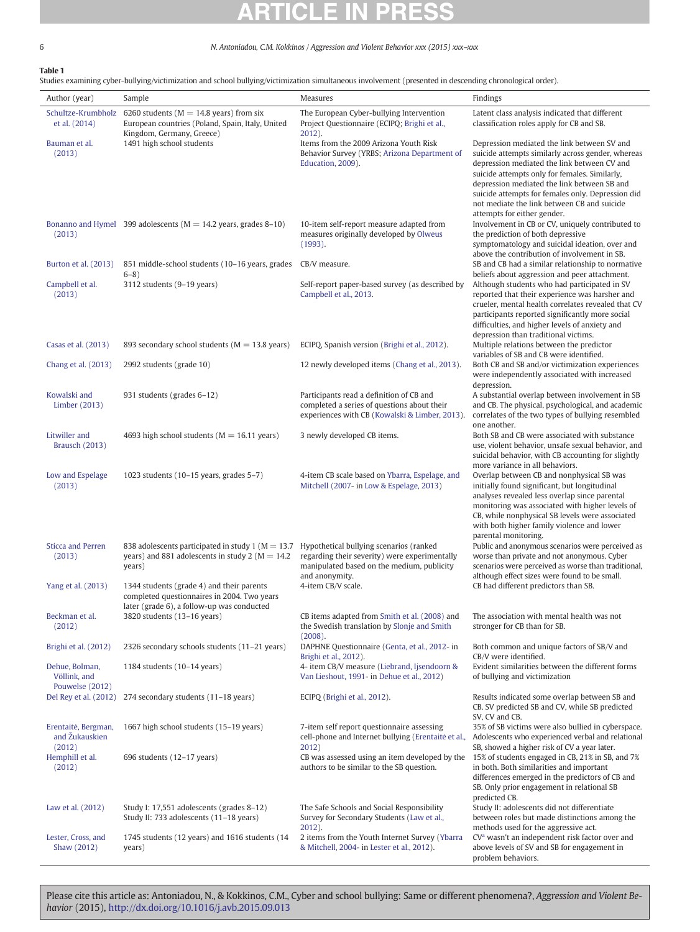<span id="page-5-0"></span>

### Table 1

Studies examining cyber-bullying/victimization and school bullying/victimization simultaneous involvement (presented in descending chronological order).

| Author (year)                                   | Sample                                                                                                                                 | Measures                                                                                                                                                 | Findings                                                                                                                                                                                                                                                                                                                                                                           |
|-------------------------------------------------|----------------------------------------------------------------------------------------------------------------------------------------|----------------------------------------------------------------------------------------------------------------------------------------------------------|------------------------------------------------------------------------------------------------------------------------------------------------------------------------------------------------------------------------------------------------------------------------------------------------------------------------------------------------------------------------------------|
| Schultze-Krumbholz<br>et al. (2014)             | 6260 students ( $M = 14.8$ years) from six<br>European countries (Poland, Spain, Italy, United<br>Kingdom, Germany, Greece)            | The European Cyber-bullying Intervention<br>Project Questionnaire (ECIPQ; Brighi et al.,<br>$2012$ ).                                                    | Latent class analysis indicated that different<br>classification roles apply for CB and SB.                                                                                                                                                                                                                                                                                        |
| Bauman et al.<br>(2013)                         | 1491 high school students                                                                                                              | Items from the 2009 Arizona Youth Risk<br>Behavior Survey (YRBS; Arizona Department of<br>Education, 2009).                                              | Depression mediated the link between SV and<br>suicide attempts similarly across gender, whereas<br>depression mediated the link between CV and<br>suicide attempts only for females. Similarly,<br>depression mediated the link between SB and<br>suicide attempts for females only. Depression did<br>not mediate the link between CB and suicide<br>attempts for either gender. |
| (2013)                                          | Bonanno and Hymel 399 adolescents ( $M = 14.2$ years, grades 8–10)                                                                     | 10-item self-report measure adapted from<br>measures originally developed by Olweus<br>(1993).                                                           | Involvement in CB or CV, uniquely contributed to<br>the prediction of both depressive<br>symptomatology and suicidal ideation, over and<br>above the contribution of involvement in SB.                                                                                                                                                                                            |
| Burton et al. (2013)                            | 851 middle-school students (10-16 years, grades<br>$6 - 8$ )                                                                           | CB/V measure.                                                                                                                                            | SB and CB had a similar relationship to normative<br>beliefs about aggression and peer attachment.                                                                                                                                                                                                                                                                                 |
| Campbell et al.<br>(2013)                       | 3112 students (9-19 years)                                                                                                             | Self-report paper-based survey (as described by<br>Campbell et al., 2013.                                                                                | Although students who had participated in SV<br>reported that their experience was harsher and<br>crueler, mental health correlates revealed that CV<br>participants reported significantly more social<br>difficulties, and higher levels of anxiety and<br>depression than traditional victims.                                                                                  |
| Casas et al. (2013)                             | 893 secondary school students ( $M = 13.8$ years)                                                                                      | ECIPQ, Spanish version (Brighi et al., 2012).                                                                                                            | Multiple relations between the predictor<br>variables of SB and CB were identified.                                                                                                                                                                                                                                                                                                |
| Chang et al. (2013)                             | 2992 students (grade 10)                                                                                                               | 12 newly developed items (Chang et al., 2013).                                                                                                           | Both CB and SB and/or victimization experiences<br>were independently associated with increased<br>depression.                                                                                                                                                                                                                                                                     |
| Kowalski and<br>Limber (2013)                   | 931 students (grades 6–12)                                                                                                             | Participants read a definition of CB and<br>completed a series of questions about their<br>experiences with CB (Kowalski & Limber, 2013).                | A substantial overlap between involvement in SB<br>and CB. The physical, psychological, and academic<br>correlates of the two types of bullying resembled<br>one another.                                                                                                                                                                                                          |
| Litwiller and<br><b>Brausch (2013)</b>          | 4693 high school students ( $M = 16.11$ years)                                                                                         | 3 newly developed CB items.                                                                                                                              | Both SB and CB were associated with substance<br>use, violent behavior, unsafe sexual behavior, and<br>suicidal behavior, with CB accounting for slightly<br>more variance in all behaviors.                                                                                                                                                                                       |
| Low and Espelage<br>(2013)                      | 1023 students $(10-15$ years, grades $5-7$ )                                                                                           | 4-item CB scale based on Ybarra, Espelage, and<br>Mitchell (2007- in Low & Espelage, 2013)                                                               | Overlap between CB and nonphysical SB was<br>initially found significant, but longitudinal<br>analyses revealed less overlap since parental<br>monitoring was associated with higher levels of<br>CB, while nonphysical SB levels were associated<br>with both higher family violence and lower<br>parental monitoring.                                                            |
| <b>Sticca and Perren</b><br>(2013)              | 838 adolescents participated in study 1 ( $M = 13.7$ )<br>years) and 881 adolescents in study 2 ( $M = 14.2$<br>years)                 | Hypothetical bullying scenarios (ranked<br>regarding their severity) were experimentally<br>manipulated based on the medium, publicity<br>and anonymity. | Public and anonymous scenarios were perceived as<br>worse than private and not anonymous. Cyber<br>scenarios were perceived as worse than traditional,<br>although effect sizes were found to be small.                                                                                                                                                                            |
| Yang et al. (2013)                              | 1344 students (grade 4) and their parents<br>completed questionnaires in 2004. Two years<br>later (grade 6), a follow-up was conducted | 4-item CB/V scale.                                                                                                                                       | CB had different predictors than SB.                                                                                                                                                                                                                                                                                                                                               |
| Beckman et al.<br>(2012)                        | 3820 students (13-16 years)                                                                                                            | CB items adapted from Smith et al. (2008) and<br>the Swedish translation by Slonje and Smith<br>(2008).                                                  | The association with mental health was not<br>stronger for CB than for SB.                                                                                                                                                                                                                                                                                                         |
| Brighi et al. (2012)                            | 2326 secondary schools students (11-21 years)                                                                                          | DAPHNE Questionnaire (Genta, et al., 2012- in<br>Brighi et al., 2012).                                                                                   | Both common and unique factors of SB/V and<br>CB/V were identified.                                                                                                                                                                                                                                                                                                                |
| Dehue, Bolman,<br>Völlink, and                  | 1184 students (10–14 years)                                                                                                            | 4- item CB/V measure (Liebrand, Ijsendoorn &<br>Van Lieshout, 1991- in Dehue et al., 2012)                                                               | Evident similarities between the different forms<br>of bullying and victimization                                                                                                                                                                                                                                                                                                  |
| Pouwelse (2012)                                 | Del Rey et al. (2012) 274 secondary students (11-18 years)                                                                             | ECIPQ (Brighi et al., 2012).                                                                                                                             | Results indicated some overlap between SB and<br>CB. SV predicted SB and CV, while SB predicted<br>SV, CV and CB.                                                                                                                                                                                                                                                                  |
| Erentaitė, Bergman,<br>and Žukauskien<br>(2012) | 1667 high school students (15-19 years)                                                                                                | 7-item self report questionnaire assessing<br>cell-phone and Internet bullying (Erentaité et al.,<br>2012)                                               | 35% of SB victims were also bullied in cyberspace.<br>Adolescents who experienced verbal and relational<br>SB, showed a higher risk of CV a year later.                                                                                                                                                                                                                            |
| Hemphill et al.<br>(2012)                       | 696 students (12-17 years)                                                                                                             | CB was assessed using an item developed by the<br>authors to be similar to the SB question.                                                              | 15% of students engaged in CB, 21% in SB, and 7%<br>in both. Both similarities and important<br>differences emerged in the predictors of CB and<br>SB. Only prior engagement in relational SB<br>predicted CB.                                                                                                                                                                     |
| Law et al. (2012)                               | Study I: 17,551 adolescents (grades 8–12)<br>Study II: 733 adolescents (11-18 years)                                                   | The Safe Schools and Social Responsibility<br>Survey for Secondary Students (Law et al.,<br>2012).                                                       | Study II: adolescents did not differentiate<br>between roles but made distinctions among the<br>methods used for the aggressive act.                                                                                                                                                                                                                                               |
| Lester, Cross, and<br>Shaw (2012)               | 1745 students (12 years) and 1616 students (14<br>years)                                                                               | 2 items from the Youth Internet Survey (Ybarra<br>& Mitchell, 2004- in Lester et al., 2012).                                                             | CV <sup>a</sup> wasn't an independent risk factor over and<br>above levels of SV and SB for engagement in<br>problem behaviors.                                                                                                                                                                                                                                                    |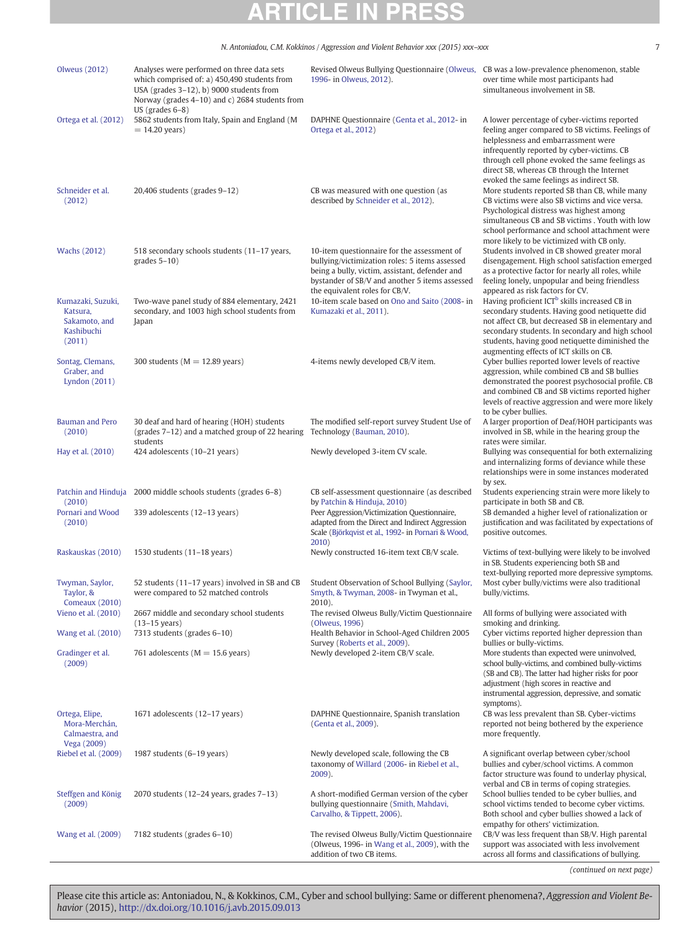| <b>Olweus</b> (2012)                                                   | Analyses were performed on three data sets<br>which comprised of: a) 450,490 students from<br>USA (grades 3-12), b) 9000 students from<br>Norway (grades 4-10) and c) 2684 students from | Revised Olweus Bullying Questionnaire (Olweus, CB was a low-prevalence phenomenon, stable<br>1996- in Olweus, 2012).                                                                                                                            | over time while most participants had<br>simultaneous involvement in SB.                                                                                                                                                                                                                                                                   |
|------------------------------------------------------------------------|------------------------------------------------------------------------------------------------------------------------------------------------------------------------------------------|-------------------------------------------------------------------------------------------------------------------------------------------------------------------------------------------------------------------------------------------------|--------------------------------------------------------------------------------------------------------------------------------------------------------------------------------------------------------------------------------------------------------------------------------------------------------------------------------------------|
| Ortega et al. (2012)                                                   | US (grades $6-8$ )<br>5862 students from Italy, Spain and England (M<br>$= 14.20$ years)                                                                                                 | DAPHNE Questionnaire (Genta et al., 2012-in<br>Ortega et al., 2012)                                                                                                                                                                             | A lower percentage of cyber-victims reported<br>feeling anger compared to SB victims. Feelings of<br>helplessness and embarrassment were<br>infrequently reported by cyber-victims. CB<br>through cell phone evoked the same feelings as<br>direct SB, whereas CB through the Internet                                                     |
| Schneider et al.<br>(2012)                                             | $20,406$ students (grades $9-12$ )                                                                                                                                                       | CB was measured with one question (as<br>described by Schneider et al., 2012).                                                                                                                                                                  | evoked the same feelings as indirect SB.<br>More students reported SB than CB, while many<br>CB victims were also SB victims and vice versa.<br>Psychological distress was highest among<br>simultaneous CB and SB victims . Youth with low<br>school performance and school attachment were<br>more likely to be victimized with CB only. |
| <b>Wachs</b> (2012)                                                    | 518 secondary schools students (11-17 years,<br>grades $5-10$ )                                                                                                                          | 10-item questionnaire for the assessment of<br>bullying/victimization roles: 5 items assessed<br>being a bully, victim, assistant, defender and<br>bystander of SB/V and another 5 items assessed<br>the equivalent roles for CB/V.             | Students involved in CB showed greater moral<br>disengagement. High school satisfaction emerged<br>as a protective factor for nearly all roles, while<br>feeling lonely, unpopular and being friendless<br>appeared as risk factors for CV.                                                                                                |
| Kumazaki, Suzuki,<br>Katsura,<br>Sakamoto, and<br>Kashibuchi<br>(2011) | Two-wave panel study of 884 elementary, 2421<br>secondary, and 1003 high school students from<br>Japan                                                                                   | 10-item scale based on Ono and Saito (2008-in<br>Kumazaki et al., 2011).                                                                                                                                                                        | Having proficient ICT <sup>b</sup> skills increased CB in<br>secondary students. Having good netiquette did<br>not affect CB, but decreased SB in elementary and<br>secondary students. In secondary and high school<br>students, having good netiquette diminished the<br>augmenting effects of ICT skills on CB.                         |
| Sontag, Clemans,<br>Graber, and<br>Lyndon $(2011)$                     | 300 students ( $M = 12.89$ years)                                                                                                                                                        | 4-items newly developed CB/V item.                                                                                                                                                                                                              | Cyber bullies reported lower levels of reactive<br>aggression, while combined CB and SB bullies<br>demonstrated the poorest psychosocial profile. CB<br>and combined CB and SB victims reported higher<br>levels of reactive aggression and were more likely<br>to be cyber bullies.                                                       |
| <b>Bauman and Pero</b><br>(2010)                                       | 30 deaf and hard of hearing (HOH) students<br>(grades $7-12$ ) and a matched group of 22 hearing<br>students                                                                             | The modified self-report survey Student Use of<br>Technology (Bauman, 2010).                                                                                                                                                                    | A larger proportion of Deaf/HOH participants was<br>involved in SB, while in the hearing group the<br>rates were similar.                                                                                                                                                                                                                  |
| Hay et al. (2010)                                                      | 424 adolescents (10-21 years)                                                                                                                                                            | Newly developed 3-item CV scale.                                                                                                                                                                                                                | Bullying was consequential for both externalizing<br>and internalizing forms of deviance while these<br>relationships were in some instances moderated<br>by sex.                                                                                                                                                                          |
| (2010)<br>Pornari and Wood<br>(2010)                                   | Patchin and Hinduja 2000 middle schools students (grades 6–8)<br>339 adolescents (12-13 years)                                                                                           | CB self-assessment questionnaire (as described<br>by Patchin & Hinduja, 2010)<br>Peer Aggression/Victimization Questionnaire,<br>adapted from the Direct and Indirect Aggression<br>Scale (Björkqvist et al., 1992- in Pornari & Wood,<br>2010) | Students experiencing strain were more likely to<br>participate in both SB and CB.<br>SB demanded a higher level of rationalization or<br>justification and was facilitated by expectations of<br>positive outcomes.                                                                                                                       |
| Raskauskas (2010)                                                      | 1530 students $(11-18$ years)                                                                                                                                                            | Newly constructed 16-item text CB/V scale.                                                                                                                                                                                                      | Victims of text-bullying were likely to be involved<br>in SB. Students experiencing both SB and<br>text-bullying reported more depressive symptoms.                                                                                                                                                                                        |
| Twyman, Saylor,<br>Taylor, &<br><b>Comeaux</b> (2010)                  | 52 students (11-17 years) involved in SB and CB Student Observation of School Bullying (Saylor,<br>were compared to 52 matched controls                                                  | Smyth, & Twyman, 2008- in Twyman et al.,<br>$2010$ ).                                                                                                                                                                                           | Most cyber bully/victims were also traditional<br>bully/victims.                                                                                                                                                                                                                                                                           |
| Vieno et al. (2010)                                                    | 2667 middle and secondary school students<br>$(13-15 \text{ years})$                                                                                                                     | The revised Olweus Bully/Victim Questionnaire<br>(Olweus, 1996)                                                                                                                                                                                 | All forms of bullying were associated with<br>smoking and drinking.                                                                                                                                                                                                                                                                        |
| Wang et al. (2010)                                                     | 7313 students (grades 6-10)                                                                                                                                                              | Health Behavior in School-Aged Children 2005<br>Survey (Roberts et al., 2009).                                                                                                                                                                  | Cyber victims reported higher depression than<br>bullies or bully-victims.                                                                                                                                                                                                                                                                 |
| Gradinger et al.<br>(2009)                                             | 761 adolescents ( $M = 15.6$ years)                                                                                                                                                      | Newly developed 2-item CB/V scale.                                                                                                                                                                                                              | More students than expected were uninvolved,<br>school bully-victims, and combined bully-victims<br>(SB and CB). The latter had higher risks for poor<br>adjustment (high scores in reactive and<br>instrumental aggression, depressive, and somatic<br>symptoms).                                                                         |
| Ortega, Elipe,<br>Mora-Merchán,<br>Calmaestra, and<br>Vega (2009)      | 1671 adolescents (12-17 years)                                                                                                                                                           | DAPHNE Questionnaire, Spanish translation<br>(Genta et al., 2009).                                                                                                                                                                              | CB was less prevalent than SB. Cyber-victims<br>reported not being bothered by the experience<br>more frequently.                                                                                                                                                                                                                          |
| Riebel et al. (2009)                                                   | 1987 students (6–19 years)                                                                                                                                                               | Newly developed scale, following the CB<br>taxonomy of Willard (2006- in Riebel et al.,<br>$2009$ ).                                                                                                                                            | A significant overlap between cyber/school<br>bullies and cyber/school victims. A common<br>factor structure was found to underlay physical,<br>verbal and CB in terms of coping strategies.                                                                                                                                               |
| Steffgen and König<br>(2009)                                           | 2070 students (12–24 years, grades 7–13)                                                                                                                                                 | A short-modified German version of the cyber<br>bullying questionnaire (Smith, Mahdavi,<br>Carvalho, & Tippett, 2006).                                                                                                                          | School bullies tended to be cyber bullies, and<br>school victims tended to become cyber victims.<br>Both school and cyber bullies showed a lack of<br>empathy for others' victimization.                                                                                                                                                   |
| Wang et al. (2009)                                                     | 7182 students (grades 6–10)                                                                                                                                                              | The revised Olweus Bully/Victim Questionnaire<br>(Olweus, 1996- in Wang et al., 2009), with the<br>addition of two CB items.                                                                                                                    | CB/V was less frequent than SB/V. High parental<br>support was associated with less involvement<br>across all forms and classifications of bullying.                                                                                                                                                                                       |

(continued on next page)

 $\overline{a}$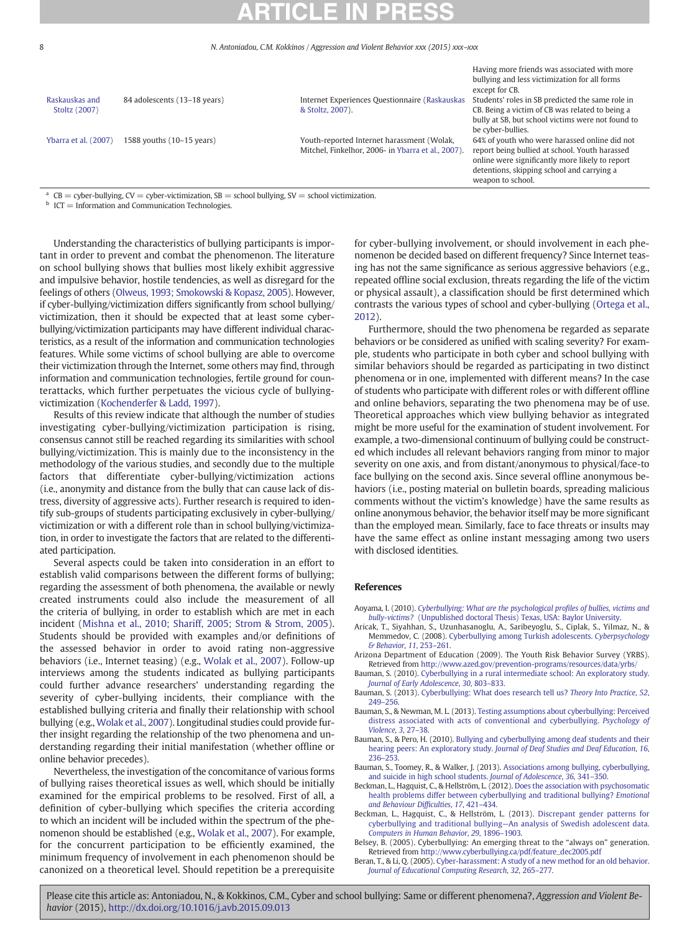<span id="page-7-0"></span>

|                                 |                              |                                                                    | Having more friends was associated with more<br>bullying and less victimization for all forms<br>except for CB. |
|---------------------------------|------------------------------|--------------------------------------------------------------------|-----------------------------------------------------------------------------------------------------------------|
| Raskauskas and<br>Stoltz (2007) | 84 adolescents (13-18 years) | Internet Experiences Questionnaire (Raskauskas<br>& Stoltz, 2007). | Students' roles in SB predicted the same role in<br>CB, Being a victim of CB was related to being a             |
|                                 |                              |                                                                    | bully at SB, but school victims were not found to                                                               |
|                                 |                              |                                                                    | be cyber-bullies.                                                                                               |
| Ybarra et al. (2007)            | 1588 youths (10-15 years)    | Youth-reported Internet harassment (Wolak,                         | 64% of youth who were harassed online did not                                                                   |
|                                 |                              | Mitchel, Finkelhor, 2006- in Ybarra et al., 2007).                 | report being bullied at school. Youth harassed<br>online were significantly more likely to report               |
|                                 |                              |                                                                    | detentions, skipping school and carrying a                                                                      |
|                                 |                              |                                                                    | weapon to school.                                                                                               |

<sup>a</sup> CB = cyber-bullying, CV = cyber-victimization, SB = school bullying, SV = school victimization.

 $\text{ICT} = \text{Information and Communication Techniques.}$ 

Understanding the characteristics of bullying participants is important in order to prevent and combat the phenomenon. The literature on school bullying shows that bullies most likely exhibit aggressive and impulsive behavior, hostile tendencies, as well as disregard for the feelings of others ([Olweus, 1993; Smokowski & Kopasz, 2005\)](#page-8-0). However, if cyber-bullying/victimization differs significantly from school bullying/ victimization, then it should be expected that at least some cyberbullying/victimization participants may have different individual characteristics, as a result of the information and communication technologies features. While some victims of school bullying are able to overcome their victimization through the Internet, some others may find, through information and communication technologies, fertile ground for counterattacks, which further perpetuates the vicious cycle of bullyingvictimization ([Kochenderfer & Ladd, 1997](#page-8-0)).

Results of this review indicate that although the number of studies investigating cyber-bullying/victimization participation is rising, consensus cannot still be reached regarding its similarities with school bullying/victimization. This is mainly due to the inconsistency in the methodology of the various studies, and secondly due to the multiple factors that differentiate cyber-bullying/victimization actions (i.e., anonymity and distance from the bully that can cause lack of distress, diversity of aggressive acts). Further research is required to identify sub-groups of students participating exclusively in cyber-bullying/ victimization or with a different role than in school bullying/victimization, in order to investigate the factors that are related to the differentiated participation.

Several aspects could be taken into consideration in an effort to establish valid comparisons between the different forms of bullying; regarding the assessment of both phenomena, the available or newly created instruments could also include the measurement of all the criteria of bullying, in order to establish which are met in each incident [\(Mishna et al., 2010; Shariff, 2005; Strom & Strom, 2005](#page-8-0)). Students should be provided with examples and/or definitions of the assessed behavior in order to avoid rating non-aggressive behaviors (i.e., Internet teasing) (e.g., [Wolak et al., 2007\)](#page-9-0). Follow-up interviews among the students indicated as bullying participants could further advance researchers' understanding regarding the severity of cyber-bullying incidents, their compliance with the established bullying criteria and finally their relationship with school bullying (e.g., [Wolak et al., 2007\)](#page-9-0). Longitudinal studies could provide further insight regarding the relationship of the two phenomena and understanding regarding their initial manifestation (whether offline or online behavior precedes).

Nevertheless, the investigation of the concomitance of various forms of bullying raises theoretical issues as well, which should be initially examined for the empirical problems to be resolved. First of all, a definition of cyber-bullying which specifies the criteria according to which an incident will be included within the spectrum of the phenomenon should be established (e.g., [Wolak et al., 2007\)](#page-9-0). For example, for the concurrent participation to be efficiently examined, the minimum frequency of involvement in each phenomenon should be canonized on a theoretical level. Should repetition be a prerequisite

for cyber-bullying involvement, or should involvement in each phenomenon be decided based on different frequency? Since Internet teasing has not the same significance as serious aggressive behaviors (e.g., repeated offline social exclusion, threats regarding the life of the victim or physical assault), a classification should be first determined which contrasts the various types of school and cyber-bullying ([Ortega et al.,](#page-8-0) [2012\)](#page-8-0).

Furthermore, should the two phenomena be regarded as separate behaviors or be considered as unified with scaling severity? For example, students who participate in both cyber and school bullying with similar behaviors should be regarded as participating in two distinct phenomena or in one, implemented with different means? In the case of students who participate with different roles or with different offline and online behaviors, separating the two phenomena may be of use. Theoretical approaches which view bullying behavior as integrated might be more useful for the examination of student involvement. For example, a two-dimensional continuum of bullying could be constructed which includes all relevant behaviors ranging from minor to major severity on one axis, and from distant/anonymous to physical/face-to face bullying on the second axis. Since several offline anonymous behaviors (i.e., posting material on bulletin boards, spreading malicious comments without the victim's knowledge) have the same results as online anonymous behavior, the behavior itself may be more significant than the employed mean. Similarly, face to face threats or insults may have the same effect as online instant messaging among two users with disclosed identities.

### References

- Aoyama, I. (2010). [Cyberbullying: What are the psychological pro](http://refhub.elsevier.com/S1359-1789(15)00128-7/rf0005)files of bullies, victims and bully-victims? [\(Unpublished doctoral Thesis\) Texas, USA: Baylor University.](http://refhub.elsevier.com/S1359-1789(15)00128-7/rf0005)
- Aricak, T., Siyahhan, S., Uzunhasanoglu, A., Saribeyoglu, S., Ciplak, S., Yilmaz, N., & Memmedov, C. (2008). [Cyberbullying among Turkish adolescents.](http://refhub.elsevier.com/S1359-1789(15)00128-7/rf0010) Cyberpsychology [& Behavior](http://refhub.elsevier.com/S1359-1789(15)00128-7/rf0010), 11, 253–261.
- Arizona Department of Education (2009). The Youth Risk Behavior Survey (YRBS). Retrieved from <http://www.azed.gov/prevention-programs/resources/data/yrbs/>
- Bauman, S. (2010). [Cyberbullying in a rural intermediate school: An exploratory study.](http://refhub.elsevier.com/S1359-1789(15)00128-7/rf0020) [Journal of Early Adolescence](http://refhub.elsevier.com/S1359-1789(15)00128-7/rf0020), 30, 803–833.
- Bauman, S. (2013). [Cyberbullying: What does research tell us?](http://refhub.elsevier.com/S1359-1789(15)00128-7/rf0025) Theory Into Practice, 52, 249–[256.](http://refhub.elsevier.com/S1359-1789(15)00128-7/rf0025)
- Bauman, S., & Newman, M. L. (2013). [Testing assumptions about cyberbullying: Perceived](http://refhub.elsevier.com/S1359-1789(15)00128-7/rf0030) [distress associated with acts of conventional and cyberbullying.](http://refhub.elsevier.com/S1359-1789(15)00128-7/rf0030) Psychology of [Violence](http://refhub.elsevier.com/S1359-1789(15)00128-7/rf0030), 3, 27–38.
- Bauman, S., & Pero, H. (2010). [Bullying and cyberbullying among deaf students and their](http://refhub.elsevier.com/S1359-1789(15)00128-7/rf0035) hearing peers: An exploratory study. [Journal of Deaf Studies and Deaf Education](http://refhub.elsevier.com/S1359-1789(15)00128-7/rf0035), 16, 236–[253.](http://refhub.elsevier.com/S1359-1789(15)00128-7/rf0035)
- Bauman, S., Toomey, R., & Walker, J. (2013). [Associations among bullying, cyberbullying,](http://refhub.elsevier.com/S1359-1789(15)00128-7/rf0040) [and suicide in high school students.](http://refhub.elsevier.com/S1359-1789(15)00128-7/rf0040) Journal of Adolescence, 36, 341–350.
- Beckman, L., Hagquist, C., & Hellström, L. (2012). [Does the association with psychosomatic](http://refhub.elsevier.com/S1359-1789(15)00128-7/rf9480) [health problems differ between cyberbullying and traditional bullying?](http://refhub.elsevier.com/S1359-1789(15)00128-7/rf9480) Emotional [and Behaviour Dif](http://refhub.elsevier.com/S1359-1789(15)00128-7/rf9480)ficulties, 17, 421–434.
- Beckman, L., Hagquist, C., & Hellström, L. (2013). [Discrepant gender patterns for](http://refhub.elsevier.com/S1359-1789(15)00128-7/rf0045) cyberbullying and traditional bullying—[An analysis of Swedish adolescent data.](http://refhub.elsevier.com/S1359-1789(15)00128-7/rf0045) [Computers in Human Behavior](http://refhub.elsevier.com/S1359-1789(15)00128-7/rf0045), 29, 1896–1903.
- Belsey, B. (2005). Cyberbullying: An emerging threat to the "always on" generation. Retrieved from [http://www.cyberbullying.ca/pdf/feature\\_dec2005.pdf](http://www.cyberbullying.ca/pdf/feature_dec2005.pdf)
- Beran, T., & Li, Q. (2005). [Cyber-harassment: A study of a new method for an old behavior.](http://refhub.elsevier.com/S1359-1789(15)00128-7/rf0055) [Journal of Educational Computing Research](http://refhub.elsevier.com/S1359-1789(15)00128-7/rf0055), 32, 265–277.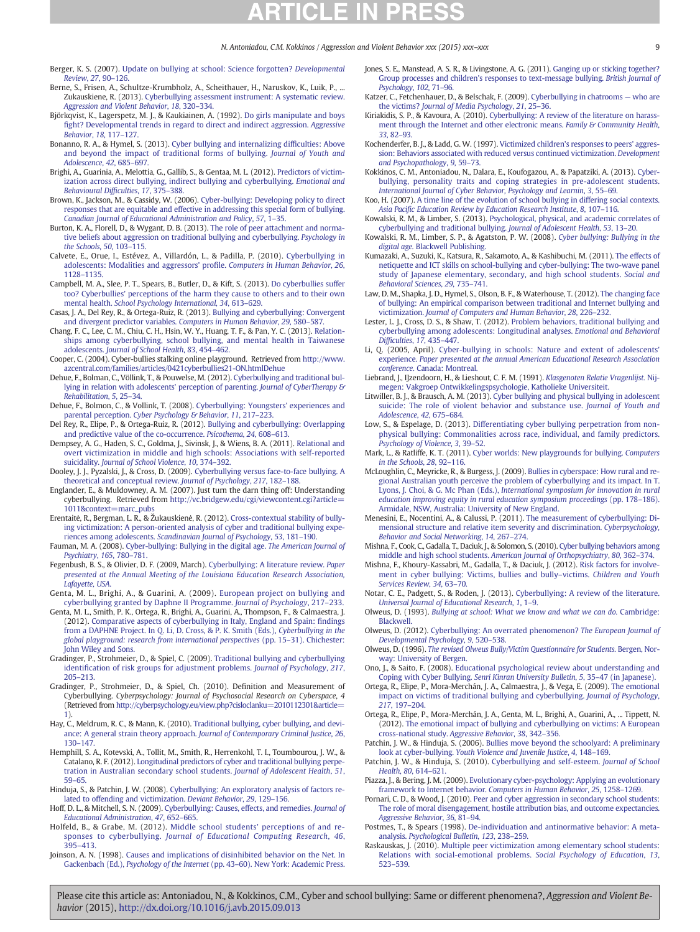# CLE

#### N. Antoniadou, C.M. Kokkinos / Aggression and Violent Behavior xxx (2015) xxx–xxx 9

<span id="page-8-0"></span>Berger, K. S. (2007). [Update on bullying at school: Science forgotten?](http://refhub.elsevier.com/S1359-1789(15)00128-7/rf0060) Developmental [Review](http://refhub.elsevier.com/S1359-1789(15)00128-7/rf0060), 27, 90–126.

- Berne, S., Frisen, A., Schultze-Krumbholz, A., Scheithauer, H., Naruskov, K., Luik, P., ... Zukauskiene, R. (2013). [Cyberbullying assessment instrument: A systematic review.](http://refhub.elsevier.com/S1359-1789(15)00128-7/rf0065) [Aggression and Violent Behavior](http://refhub.elsevier.com/S1359-1789(15)00128-7/rf0065), 18, 320–334.
- Björkqvist, K., Lagerspetz, M. J., & Kaukiainen, A. (1992). [Do girls manipulate and boys](http://refhub.elsevier.com/S1359-1789(15)00128-7/rf0070) fi[ght? Developmental trends in regard to direct and indirect aggression.](http://refhub.elsevier.com/S1359-1789(15)00128-7/rf0070) Aggressive [Behavior](http://refhub.elsevier.com/S1359-1789(15)00128-7/rf0070), 18, 117–127.
- Bonanno, R. A., & Hymel, S. (2013). [Cyber bullying and internalizing dif](http://refhub.elsevier.com/S1359-1789(15)00128-7/rf0075)ficulties: Above [and beyond the impact of traditional forms of bullying.](http://refhub.elsevier.com/S1359-1789(15)00128-7/rf0075) Journal of Youth and [Adolescence](http://refhub.elsevier.com/S1359-1789(15)00128-7/rf0075), 42, 685–697.
- Brighi, A., Guarinia, A., Melottia, G., Gallib, S., & Gentaa, M. L. (2012). [Predictors of victim](http://refhub.elsevier.com/S1359-1789(15)00128-7/rf0080)[ization across direct bullying, indirect bullying and cyberbullying.](http://refhub.elsevier.com/S1359-1789(15)00128-7/rf0080) Emotional and [Behavioural Dif](http://refhub.elsevier.com/S1359-1789(15)00128-7/rf0080)ficulties, 17, 375–388.
- Brown, K., Jackson, M., & Cassidy, W. (2006). [Cyber-bullying: Developing policy to direct](http://refhub.elsevier.com/S1359-1789(15)00128-7/rf0085) [responses that are equitable and effective in addressing this special form of bullying.](http://refhub.elsevier.com/S1359-1789(15)00128-7/rf0085) [Canadian Journal of Educational Administration and Policy](http://refhub.elsevier.com/S1359-1789(15)00128-7/rf0085), 57, 1–35.
- Burton, K. A., Florell, D., & Wygant, D. B. (2013). [The role of peer attachment and norma](http://refhub.elsevier.com/S1359-1789(15)00128-7/rf0090)[tive beliefs about aggression on traditional bullying and cyberbullying.](http://refhub.elsevier.com/S1359-1789(15)00128-7/rf0090) Psychology in [the Schools](http://refhub.elsevier.com/S1359-1789(15)00128-7/rf0090), 50, 103–115.
- Calvete, E., Orue, I., Estévez, A., Villardón, L., & Padilla, P. (2010). [Cyberbullying in](http://refhub.elsevier.com/S1359-1789(15)00128-7/rf0095) [adolescents: Modalities and aggressors' pro](http://refhub.elsevier.com/S1359-1789(15)00128-7/rf0095)file. Computers in Human Behavior, 26, 1128–[1135.](http://refhub.elsevier.com/S1359-1789(15)00128-7/rf0095)
- Campbell, M. A., Slee, P. T., Spears, B., Butler, D., & Kift, S. (2013). [Do cyberbullies suffer](http://refhub.elsevier.com/S1359-1789(15)00128-7/rf0100) [too? Cyberbullies' perceptions of the harm they cause to others and to their own](http://refhub.elsevier.com/S1359-1789(15)00128-7/rf0100) mental health. [School Psychology International](http://refhub.elsevier.com/S1359-1789(15)00128-7/rf0100), 34, 613–629.
- Casas, J. A., Del Rey, R., & Ortega-Ruiz, R. (2013). [Bullying and cyberbullying: Convergent](http://refhub.elsevier.com/S1359-1789(15)00128-7/rf0105) [and divergent predictor variables.](http://refhub.elsevier.com/S1359-1789(15)00128-7/rf0105) Computers in Human Behavior, 29, 580–587.
- Chang, F. C., Lee, C. M., Chiu, C. H., Hsin, W. Y., Huang, T. F., & Pan, Y. C. (2013). [Relation](http://refhub.elsevier.com/S1359-1789(15)00128-7/rf0110)[ships among cyberbullying, school bullying, and mental health in Taiwanese](http://refhub.elsevier.com/S1359-1789(15)00128-7/rf0110) adolescents. [Journal of School Health](http://refhub.elsevier.com/S1359-1789(15)00128-7/rf0110), 83, 454–462.
- Cooper, C. (2004). Cyber-bullies stalking online playground. Retrieved from [http://www.](http://www.azcentral.com/families/articles/0421cyberbullies21-ON.htmlDehue) [azcentral.com/families/articles/0421cyberbullies21-ON.htmlDehue](http://www.azcentral.com/families/articles/0421cyberbullies21-ON.htmlDehue)
- Dehue, F., Bolman, C., Völlink, T., & Pouwelse, M. (2012). [Cyberbullying and traditional bul](http://refhub.elsevier.com/S1359-1789(15)00128-7/rf0120)[lying in relation with adolescents' perception of parenting.](http://refhub.elsevier.com/S1359-1789(15)00128-7/rf0120) Journal of CyberTherapy & [Rehabilitation](http://refhub.elsevier.com/S1359-1789(15)00128-7/rf0120), 5, 25–34.
- Dehue, F., Bolmon, C., & Vollink, T. (2008). [Cyberbullying: Youngsters' experiences and](http://refhub.elsevier.com/S1359-1789(15)00128-7/rf0125) parental perception. [Cyber Psychology & Behavior](http://refhub.elsevier.com/S1359-1789(15)00128-7/rf0125), 11, 217–223.
- Del Rey, R., Elipe, P., & Ortega-Ruiz, R. (2012). [Bullying and cyberbullying: Overlapping](http://refhub.elsevier.com/S1359-1789(15)00128-7/rf0130) [and predictive value of the co-occurrence.](http://refhub.elsevier.com/S1359-1789(15)00128-7/rf0130) Psicothema, 24, 608–613.
- Dempsey, A. G., Haden, S. C., Goldma, J., Sivinsk, J., & Wiens, B. A. (2011). [Relational and](http://refhub.elsevier.com/S1359-1789(15)00128-7/rf0135) [overt victimization in middle and high schools: Associations with self-reported](http://refhub.elsevier.com/S1359-1789(15)00128-7/rf0135) suicidality. [Journal of School Violence](http://refhub.elsevier.com/S1359-1789(15)00128-7/rf0135), 10, 374–392.
- Dooley, J. J., Pyzalski, J., & Cross, D. (2009). [Cyberbullying versus face-to-face bullying. A](http://refhub.elsevier.com/S1359-1789(15)00128-7/rf0140) [theoretical and conceptual review.](http://refhub.elsevier.com/S1359-1789(15)00128-7/rf0140) Journal of Psychology, 217, 182-188.
- Englander, E., & Muldowney, A. M. (2007). Just turn the darn thing off: Understanding cyberbullying. Retrieved from [http://vc.bridgew.edu/cgi/viewcontent.cgi?article=](http://vc.bridgew.edu/cgi/viewcontent.cgi?article=1011&context=marc_pubs) [1011&context=marc\\_pubs](http://vc.bridgew.edu/cgi/viewcontent.cgi?article=1011&context=marc_pubs)
- Erentaitė, R., Bergman, L. R., & Žukauskienė, R. (2012). [Cross-contextual stability of bully](http://refhub.elsevier.com/S1359-1789(15)00128-7/rf0150)[ing victimization: A person-oriented analysis of cyber and traditional bullying expe](http://refhub.elsevier.com/S1359-1789(15)00128-7/rf0150)riences among adolescents. [Scandinavian Journal of Psychology](http://refhub.elsevier.com/S1359-1789(15)00128-7/rf0150), 53, 181–190.
- Fauman, M. A. (2008). [Cyber-bullying: Bullying in the digital age.](http://refhub.elsevier.com/S1359-1789(15)00128-7/rf0155) The American Journal of [Psychiatry](http://refhub.elsevier.com/S1359-1789(15)00128-7/rf0155), 165, 780–781.
- Fegenbush, B. S., & Olivier, D. F. (2009, March). [Cyberbullying: A literature review.](http://refhub.elsevier.com/S1359-1789(15)00128-7/rf0160) Paper [presented at the Annual Meeting of the Louisiana Education Research Association,](http://refhub.elsevier.com/S1359-1789(15)00128-7/rf0160) [Lafayette, USA](http://refhub.elsevier.com/S1359-1789(15)00128-7/rf0160).
- Genta, M. L., Brighi, A., & Guarini, A. (2009). [European project on bullying and](http://refhub.elsevier.com/S1359-1789(15)00128-7/rf7778) [cyberbullying granted by Daphne II Programme.](http://refhub.elsevier.com/S1359-1789(15)00128-7/rf7778) Journal of Psychology, 217–233.
- Genta, M. L., Smith, P. K., Ortega, R., Brighi, A., Guarini, A., Thompson, F., & Calmaestra, J. (2012). [Comparative aspects of cyberbullying in Italy, England and Spain:](http://refhub.elsevier.com/S1359-1789(15)00128-7/rf9905) findings [from a DAPHNE Project. In Q. Li, D. Cross, & P. K. Smith \(Eds.\),](http://refhub.elsevier.com/S1359-1789(15)00128-7/rf9905) Cyberbullying in the [global playground: research from international perspectives](http://refhub.elsevier.com/S1359-1789(15)00128-7/rf9905) (pp. 15–31). Chichester: [John Wiley and Sons.](http://refhub.elsevier.com/S1359-1789(15)00128-7/rf9905)
- Gradinger, P., Strohmeier, D., & Spiel, C. (2009). [Traditional bullying and cyberbullying](http://refhub.elsevier.com/S1359-1789(15)00128-7/rf0165) identifi[cation of risk groups for adjustment problems.](http://refhub.elsevier.com/S1359-1789(15)00128-7/rf0165) Journal of Psychology, 217, 205–[213.](http://refhub.elsevier.com/S1359-1789(15)00128-7/rf0165)
- Gradinger, P., Strohmeier, D., & Spiel, Ch. (2010). Definition and Measurement of Cyberbullying. Cyberpsychology: Journal of Psychosocial Research on Cyberspace, 4 (Retrieved from [http://cyberpsychology.eu/view.php?cisloclanku=2010112301&article=](http://cyberpsychology.eu/view.php?cisloclanku=2010112301&article=1) [1\)](http://cyberpsychology.eu/view.php?cisloclanku=2010112301&article=1).
- Hay, C., Meldrum, R. C., & Mann, K. (2010). [Traditional bullying, cyber bullying, and devi](http://refhub.elsevier.com/S1359-1789(15)00128-7/rf0170)[ance: A general strain theory approach.](http://refhub.elsevier.com/S1359-1789(15)00128-7/rf0170) Journal of Contemporary Criminal Justice, 26, 130–[147.](http://refhub.elsevier.com/S1359-1789(15)00128-7/rf0170)
- Hemphill, S. A., Kotevski, A., Tollit, M., Smith, R., Herrenkohl, T. I., Toumbourou, J. W., & Catalano, R. F. (2012). [Longitudinal predictors of cyber and traditional bullying perpe](http://refhub.elsevier.com/S1359-1789(15)00128-7/rf0175)[tration in Australian secondary school students.](http://refhub.elsevier.com/S1359-1789(15)00128-7/rf0175) Journal of Adolescent Health, 51, 59–[65.](http://refhub.elsevier.com/S1359-1789(15)00128-7/rf0175)
- Hinduja, S., & Patchin, J. W. (2008). [Cyberbullying: An exploratory analysis of factors re](http://refhub.elsevier.com/S1359-1789(15)00128-7/rf0180)[lated to offending and victimization.](http://refhub.elsevier.com/S1359-1789(15)00128-7/rf0180) Deviant Behavior, 29, 129–156.
- Hoff, D. L., & Mitchell, S. N. (2009). [Cyberbullying: Causes, effects, and remedies.](http://refhub.elsevier.com/S1359-1789(15)00128-7/rf0190) Journal of [Educational Administration](http://refhub.elsevier.com/S1359-1789(15)00128-7/rf0190), 47, 652–665.
- Holfeld, B., & Grabe, M. (2012). [Middle school students' perceptions of and re](http://refhub.elsevier.com/S1359-1789(15)00128-7/rf0195)sponses to cyberbullying. [Journal of Educational Computing Research](http://refhub.elsevier.com/S1359-1789(15)00128-7/rf0195), 46, 395–[413.](http://refhub.elsevier.com/S1359-1789(15)00128-7/rf0195)
- Joinson, A. N. (1998). [Causes and implications of disinhibited behavior on the Net. In](http://refhub.elsevier.com/S1359-1789(15)00128-7/rf0205) Gackenbach (Ed.), Psychology of the Internet (pp. 43–[60\). New York: Academic Press.](http://refhub.elsevier.com/S1359-1789(15)00128-7/rf0205)
- Jones, S. E., Manstead, A. S. R., & Livingstone, A. G. (2011). [Ganging up or sticking together?](http://refhub.elsevier.com/S1359-1789(15)00128-7/rf0215) [Group processes and children's responses to text-message bullying.](http://refhub.elsevier.com/S1359-1789(15)00128-7/rf0215) British Journal of [Psychology](http://refhub.elsevier.com/S1359-1789(15)00128-7/rf0215), 102, 71–96.
- Katzer, C., Fetchenhauer, D., & Belschak, F. (2009). [Cyberbullying in chatrooms](http://refhub.elsevier.com/S1359-1789(15)00128-7/rf0225) who are the victims? [Journal of Media Psychology](http://refhub.elsevier.com/S1359-1789(15)00128-7/rf0225), 21, 25–36.
- Kiriakidis, S. P., & Kavoura, A. (2010). [Cyberbullying: A review of the literature on harass](http://refhub.elsevier.com/S1359-1789(15)00128-7/rf0230)[ment through the Internet and other electronic means.](http://refhub.elsevier.com/S1359-1789(15)00128-7/rf0230) Family & Community Health, 33[, 82](http://refhub.elsevier.com/S1359-1789(15)00128-7/rf0230)–93.
- Kochenderfer, B. J., & Ladd, G. W. (1997). [Victimized children's responses to peers' aggres](http://refhub.elsevier.com/S1359-1789(15)00128-7/rf0235)[sion: Behaviors associated with reduced versus continued victimization.](http://refhub.elsevier.com/S1359-1789(15)00128-7/rf0235) Development [and Psychopathology](http://refhub.elsevier.com/S1359-1789(15)00128-7/rf0235), 9, 59–73.
- Kokkinos, C. M., Antoniadou, N., Dalara, E., Koufogazou, A., & Papatziki, A. (2013). [Cyber](http://refhub.elsevier.com/S1359-1789(15)00128-7/rf0240)[bullying, personality traits and coping strategies in pre-adolescent students.](http://refhub.elsevier.com/S1359-1789(15)00128-7/rf0240) [International Journal of Cyber Behavior, Psychology and Learnin](http://refhub.elsevier.com/S1359-1789(15)00128-7/rf0240), 3, 55–69.
- Koo, H. (2007). [A time line of the evolution of school bullying in differing social contexts.](http://refhub.elsevier.com/S1359-1789(15)00128-7/rf0245) Asia Pacifi[c Education Review by Education Research Institute](http://refhub.elsevier.com/S1359-1789(15)00128-7/rf0245), 8, 107–116.
- Kowalski, R. M., & Limber, S. (2013). [Psychological, physical, and academic correlates of](http://refhub.elsevier.com/S1359-1789(15)00128-7/rf0250) [cyberbullying and traditional bullying.](http://refhub.elsevier.com/S1359-1789(15)00128-7/rf0250) Journal of Adolescent Health, 53, 13–20.
- Kowalski, R. M., Limber, S. P., & Agatston, P. W. (2008). [Cyber bullying: Bullying in the](http://refhub.elsevier.com/S1359-1789(15)00128-7/rf0260) digital age. [Blackwell Publishing.](http://refhub.elsevier.com/S1359-1789(15)00128-7/rf0260)
- Kumazaki, A., Suzuki, K., Katsura, R., Sakamoto, A., & Kashibuchi, M. (2011). [The effects of](http://refhub.elsevier.com/S1359-1789(15)00128-7/rf0265) [netiquette and ICT skills on school-bullying and cyber-bullying: The two-wave panel](http://refhub.elsevier.com/S1359-1789(15)00128-7/rf0265) [study of Japanese elementary, secondary, and high school students.](http://refhub.elsevier.com/S1359-1789(15)00128-7/rf0265) Social and [Behavioral Sciences](http://refhub.elsevier.com/S1359-1789(15)00128-7/rf0265), 29, 735–741.
- Law, D. M., Shapka, J. D., Hymel, S., Olson, B. F., & Waterhouse, T. (2012). [The changing face](http://refhub.elsevier.com/S1359-1789(15)00128-7/rf0270) [of bullying: An empirical comparison between traditional and Internet bullying and](http://refhub.elsevier.com/S1359-1789(15)00128-7/rf0270) victimization. [Journal of Computers and Human Behavior](http://refhub.elsevier.com/S1359-1789(15)00128-7/rf0270), 28, 226–232.
- Lester, L. J., Cross, D. S., & Shaw, T. (2012). [Problem behaviors, traditional bullying and](http://refhub.elsevier.com/S1359-1789(15)00128-7/rf0275) [cyberbullying among adolescents: Longitudinal analyses.](http://refhub.elsevier.com/S1359-1789(15)00128-7/rf0275) Emotional and Behavioral Diffi[culties](http://refhub.elsevier.com/S1359-1789(15)00128-7/rf0275), 17, 435–447.
- Li, Q. (2005, April). [Cyber-bullying in schools: Nature and extent of adolescents'](http://refhub.elsevier.com/S1359-1789(15)00128-7/rf0280) experience. [Paper presented at the annual American Educational Research Association](http://refhub.elsevier.com/S1359-1789(15)00128-7/rf0280) conference[. Canada: Montreal.](http://refhub.elsevier.com/S1359-1789(15)00128-7/rf0280)
- Liebrand, J., IJzendoorn, H., & Lieshout, C. F. M. (1991). [Klasgenoten Relatie Vragenlijst.](http://refhub.elsevier.com/S1359-1789(15)00128-7/rf9970) Nij[megen: Vakgroep Ontwikkelingspsychologie, Katholieke Universiteit.](http://refhub.elsevier.com/S1359-1789(15)00128-7/rf9970)
- Litwiller, B. J., & Brausch, A. M. (2013). [Cyber bullying and physical bullying in adolescent](http://refhub.elsevier.com/S1359-1789(15)00128-7/rf0290) [suicide: The role of violent behavior and substance use.](http://refhub.elsevier.com/S1359-1789(15)00128-7/rf0290) Journal of Youth and [Adolescence](http://refhub.elsevier.com/S1359-1789(15)00128-7/rf0290), 42, 675–684.
- Low, S., & Espelage, D. (2013). [Differentiating cyber bullying perpetration from non](http://refhub.elsevier.com/S1359-1789(15)00128-7/rf0295)[physical bullying: Commonalities across race, individual, and family predictors.](http://refhub.elsevier.com/S1359-1789(15)00128-7/rf0295) [Psychology of Violence](http://refhub.elsevier.com/S1359-1789(15)00128-7/rf0295), 3, 39–52.
- Mark, L., & Ratliffe, K. T. (2011). [Cyber worlds: New playgrounds for bullying.](http://refhub.elsevier.com/S1359-1789(15)00128-7/rf0300) Computers [in the Schools](http://refhub.elsevier.com/S1359-1789(15)00128-7/rf0300), 28, 92–116.
- McLoughlin, C., Meyricke, R., & Burgess, J. (2009). [Bullies in cyberspace: How rural and re](http://refhub.elsevier.com/S1359-1789(15)00128-7/rf0305)[gional Australian youth perceive the problem of cyberbullying and its impact. In T.](http://refhub.elsevier.com/S1359-1789(15)00128-7/rf0305) Lyons, J. Choi, & G. Mc Phan (Eds.), [International symposium for innovation in rural](http://refhub.elsevier.com/S1359-1789(15)00128-7/rf0305) [education improving equity in rural education symposium proceedings](http://refhub.elsevier.com/S1359-1789(15)00128-7/rf0305) (pp. 178–186). [Armidale, NSW, Australia: University of New England.](http://refhub.elsevier.com/S1359-1789(15)00128-7/rf0305)
- Menesini, E., Nocentini, A., & Calussi, P. (2011). [The measurement of cyberbullying: Di](http://refhub.elsevier.com/S1359-1789(15)00128-7/rf0310)[mensional structure and relative item severity and discrimination.](http://refhub.elsevier.com/S1359-1789(15)00128-7/rf0310) Cyberpsychology, [Behavior and Social Networking](http://refhub.elsevier.com/S1359-1789(15)00128-7/rf0310), 14, 267–274.
- Mishna, F., Cook, C., Gadalla, T., Daciuk, J., & Solomon, S. (2010). [Cyber bullying behaviors among](http://refhub.elsevier.com/S1359-1789(15)00128-7/rf0315) middle and high school students. [American Journal of Orthopsychiatry](http://refhub.elsevier.com/S1359-1789(15)00128-7/rf0315), 80, 362–374.
- Mishna, F., Khoury-Kassabri, M., Gadalla, T., & Daciuk, J. (2012). [Risk factors for involve](http://refhub.elsevier.com/S1359-1789(15)00128-7/rf0320)[ment in cyber bullying: Victims, bullies and bully](http://refhub.elsevier.com/S1359-1789(15)00128-7/rf0320)–victims. Children and Youth [Services Review](http://refhub.elsevier.com/S1359-1789(15)00128-7/rf0320), 34, 63–70.
- Notar, C. E., Padgett, S., & Roden, J. (2013). [Cyberbullying: A review of the literature.](http://refhub.elsevier.com/S1359-1789(15)00128-7/rf0325) [Universal Journal of Educational Research](http://refhub.elsevier.com/S1359-1789(15)00128-7/rf0325), 1, 1–9.
- Olweus, D. (1993). [Bullying at school: What we know and what we can do.](http://refhub.elsevier.com/S1359-1789(15)00128-7/rf0330) Cambridge: **Blackwell**
- Olweus, D. (2012). [Cyberbullying: An overrated phenomenon?](http://refhub.elsevier.com/S1359-1789(15)00128-7/rf0335) The European Journal of [Developmental Psychology](http://refhub.elsevier.com/S1359-1789(15)00128-7/rf0335), 9, 520–538.
- Olweus, D. (1996). [The revised Olweus Bully/Victim Questionnaire for Students.](http://refhub.elsevier.com/S1359-1789(15)00128-7/rf3390) Bergen, Nor[way: University of Bergen.](http://refhub.elsevier.com/S1359-1789(15)00128-7/rf3390)
- Ono, J., & Saito, F. (2008). [Educational psychological review about understanding and](http://refhub.elsevier.com/S1359-1789(15)00128-7/rf6680) Coping with Cyber Bullying. [Senri Kinran University Bulletin](http://refhub.elsevier.com/S1359-1789(15)00128-7/rf6680), 5, 35–47 (in Japanese).
- Ortega, R., Elipe, P., Mora-Merchán, J. A., Calmaestra, J., & Vega, E. (2009). [The emotional](http://refhub.elsevier.com/S1359-1789(15)00128-7/rf0340) [impact on victims of traditional bullying and cyberbullying.](http://refhub.elsevier.com/S1359-1789(15)00128-7/rf0340) Journal of Psychology, 217[, 197](http://refhub.elsevier.com/S1359-1789(15)00128-7/rf0340)–204.
- Ortega, R., Elipe, P., Mora-Merchán, J. A., Genta, M. L., Brighi, A., Guarini, A., ... Tippett, N. (2012). [The emotional impact of bullying and cyberbullying on victims: A European](http://refhub.elsevier.com/S1359-1789(15)00128-7/rf0345) [cross-national study.](http://refhub.elsevier.com/S1359-1789(15)00128-7/rf0345) Aggressive Behavior, 38, 342–356.
- Patchin, J. W., & Hinduja, S. (2006). [Bullies move beyond the schoolyard: A preliminary](http://refhub.elsevier.com/S1359-1789(15)00128-7/rf0350) look at cyber-bullying. [Youth Violence and Juvenile Justice](http://refhub.elsevier.com/S1359-1789(15)00128-7/rf0350), 4, 148–169.
- Patchin, J. W., & Hinduja, S. (2010). [Cyberbullying and self-esteem.](http://refhub.elsevier.com/S1359-1789(15)00128-7/rf0355) Journal of School [Health](http://refhub.elsevier.com/S1359-1789(15)00128-7/rf0355), 80, 614–621.
- Piazza, J., & Bering, J. M. (2009). [Evolutionary cyber-psychology: Applying an evolutionary](http://refhub.elsevier.com/S1359-1789(15)00128-7/rf0360) [framework to Internet behavior.](http://refhub.elsevier.com/S1359-1789(15)00128-7/rf0360) Computers in Human Behavior, 25, 1258–1269.
- Pornari, C. D., & Wood, J. (2010). [Peer and cyber aggression in secondary school students:](http://refhub.elsevier.com/S1359-1789(15)00128-7/rf0365) [The role of moral disengagement, hostile attribution bias, and outcome expectancies.](http://refhub.elsevier.com/S1359-1789(15)00128-7/rf0365) [Aggressive Behavior](http://refhub.elsevier.com/S1359-1789(15)00128-7/rf0365), 36, 81–94.
- Postmes, T., & Spears (1998). [De-individuation and antinormative behavior: A meta](http://refhub.elsevier.com/S1359-1789(15)00128-7/rf0370)analysis. [Psychological Bulletin](http://refhub.elsevier.com/S1359-1789(15)00128-7/rf0370), 123, 238–259.
- Raskauskas, J. (2010). [Multiple peer victimization among elementary school students:](http://refhub.elsevier.com/S1359-1789(15)00128-7/rf0375) [Relations with social-emotional problems.](http://refhub.elsevier.com/S1359-1789(15)00128-7/rf0375) Social Psychology of Education, 13, 523–[539.](http://refhub.elsevier.com/S1359-1789(15)00128-7/rf0375)